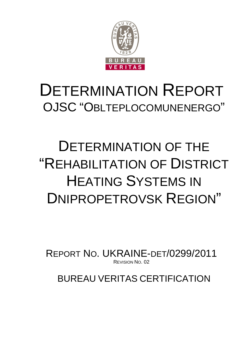

# DETERMINATION REPORT OJSC "OBLTEPLOCOMUNENERGO"

# DETERMINATION OF THE "REHABILITATION OF DISTRICT HEATING SYSTEMS IN DNIPROPETROVSK REGION"

REPORT NO. UKRAINE-DET/0299/2011 REVISION NO. 02

BUREAU VERITAS CERTIFICATION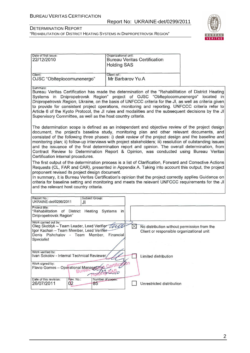Date of first issue:

٦

#### DETERMINATION REPORT "REHABILITATION OF DISTRICT HEATING SYSTEMS IN DNIPROPETROVSK REGION"

Organizational unit:



| 22/12/2010                                                                                                                                                                                                                                                                                                                                                                                                                                                                                                                                                                               | <b>Holding SAS</b>                                                                                                                                                                                                                                                                                                                                                                                                                                                                                                                                                                                           |   | <b>Bureau Veritas Certification</b>                                                      |  |  |  |  |
|------------------------------------------------------------------------------------------------------------------------------------------------------------------------------------------------------------------------------------------------------------------------------------------------------------------------------------------------------------------------------------------------------------------------------------------------------------------------------------------------------------------------------------------------------------------------------------------|--------------------------------------------------------------------------------------------------------------------------------------------------------------------------------------------------------------------------------------------------------------------------------------------------------------------------------------------------------------------------------------------------------------------------------------------------------------------------------------------------------------------------------------------------------------------------------------------------------------|---|------------------------------------------------------------------------------------------|--|--|--|--|
| Client:<br>OJSC "Oblteplocomunenergo"                                                                                                                                                                                                                                                                                                                                                                                                                                                                                                                                                    | Client ref.:<br>Mr Barbarov Yu.A                                                                                                                                                                                                                                                                                                                                                                                                                                                                                                                                                                             |   |                                                                                          |  |  |  |  |
| Summary:<br>Bureau Veritas Certification has made the determination of the "Rehabilitation of District Heating<br>Systems in Dnipropetrovsk Region" project of OJSC "Oblteplocomunenergo" located in<br>Dnipropetrovsk Region, Ukraine, on the basis of UNFCCC criteria for the JI, as well as criteria given<br>to provide for consistent project operations, monitoring and reporting. UNFCCC criteria refer to<br>Article 6 of the Kyoto Protocol, the JI rules and modalities and the subsequent decisions by the JI<br>Supervisory Committee, as well as the host country criteria. |                                                                                                                                                                                                                                                                                                                                                                                                                                                                                                                                                                                                              |   |                                                                                          |  |  |  |  |
| Certification internal procedures.                                                                                                                                                                                                                                                                                                                                                                                                                                                                                                                                                       | The determination scope is defined as an independent and objective review of the project design<br>document, the project's baseline study, monitoring plan and other relevant documents, and<br>consisted of the following three phases: i) desk review of the project design and the baseline and<br>monitoring plan; ii) follow-up interviews with project stakeholders; iii) resolution of outstanding issues<br>and the issuance of the final determination report and opinion. The overall determination, from<br>Contract Review to Determination Report & Opinion, was conducted using Bureau Veritas |   |                                                                                          |  |  |  |  |
|                                                                                                                                                                                                                                                                                                                                                                                                                                                                                                                                                                                          | The first output of the determination process is a list of Clarification, Forward and Corrective Actions<br>Requests (CL, FAR and CAR), presented in Appendix A. Taking into account this output, the project<br>proponent revised its project design document.<br>In summary, it is Bureau Veritas Certification's opinion that the project correctly applies Guidance on<br>criteria for baseline setting and monitoring and meets the relevant UNFCCC requirements for the JI<br>and the relevant host country criteria.                                                                                  |   |                                                                                          |  |  |  |  |
| Report No.:<br>Subject Group:<br>UKRAINE-det/0299/2011<br>JI                                                                                                                                                                                                                                                                                                                                                                                                                                                                                                                             |                                                                                                                                                                                                                                                                                                                                                                                                                                                                                                                                                                                                              |   |                                                                                          |  |  |  |  |
| Project title:<br>"Rehabilitation of District Heating Systems<br>Dnipropetrovsk Region"                                                                                                                                                                                                                                                                                                                                                                                                                                                                                                  | in                                                                                                                                                                                                                                                                                                                                                                                                                                                                                                                                                                                                           |   |                                                                                          |  |  |  |  |
| Work carried out by:<br>Oleg Skoblyk - Team Leader, Lead Verifier ULL<br>Igor Kachan - Team Member, Lead Verifier-<br>Denis Pishchalov - Team Member, Financial<br>Specialist                                                                                                                                                                                                                                                                                                                                                                                                            |                                                                                                                                                                                                                                                                                                                                                                                                                                                                                                                                                                                                              | ⋈ | No distribution without permission from the<br>Client or responsible organizational unit |  |  |  |  |
| Work verified by:<br>Ivan Sokolov - Internal Technical Reviewer<br>Work signed by:                                                                                                                                                                                                                                                                                                                                                                                                                                                                                                       |                                                                                                                                                                                                                                                                                                                                                                                                                                                                                                                                                                                                              |   | Limited distribution                                                                     |  |  |  |  |
| Flavio Gomes - Operational Manager<br>Rev. No.:<br>Date of this revision:                                                                                                                                                                                                                                                                                                                                                                                                                                                                                                                | Se Certification<br>Number of pages:                                                                                                                                                                                                                                                                                                                                                                                                                                                                                                                                                                         |   |                                                                                          |  |  |  |  |
| 26/07/2011<br>02<br>85                                                                                                                                                                                                                                                                                                                                                                                                                                                                                                                                                                   |                                                                                                                                                                                                                                                                                                                                                                                                                                                                                                                                                                                                              |   | Unrestricted distribution                                                                |  |  |  |  |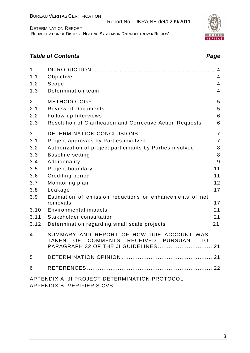Report No: UKRAINE-det/0299/2011

# **Table of Contents Page 2018**

| $\mathbf{1}$   |                                                                                                                                                       | 4              |
|----------------|-------------------------------------------------------------------------------------------------------------------------------------------------------|----------------|
| 1.1            | Objective                                                                                                                                             | 4              |
| 1.2            | Scope                                                                                                                                                 | $\overline{4}$ |
| 1.3            | Determination team                                                                                                                                    | $\overline{4}$ |
| $\overline{2}$ |                                                                                                                                                       | 5              |
| 2.1            | <b>Review of Documents</b>                                                                                                                            | 5              |
| 2.2            | Follow-up Interviews                                                                                                                                  | 6              |
| 2.3            | Resolution of Clarification and Corrective Action Requests                                                                                            | 6              |
| 3              |                                                                                                                                                       |                |
| 3.1            | Project approvals by Parties involved                                                                                                                 | 7              |
| 3.2            | Authorization of project participants by Parties involved                                                                                             | 8              |
| 3.3            | <b>Baseline setting</b>                                                                                                                               | 8              |
| 3.4            | Additionality                                                                                                                                         | 9              |
| 3.5            | Project boundary                                                                                                                                      | 11             |
| 3.6            | Crediting period                                                                                                                                      | 11             |
| 3.7            | Monitoring plan                                                                                                                                       | 12             |
| 3.8            | Leakage                                                                                                                                               | 17             |
| 3.9            | Estimation of emission reductions or enhancements of net                                                                                              |                |
|                | removals                                                                                                                                              | 17             |
| 3.10           | Environmental impacts                                                                                                                                 | 21             |
| 3.11           | Stakeholder consultation                                                                                                                              | 21             |
| 3.12           | Determination regarding small scale projects                                                                                                          | 21             |
| 4              | SUMMARY AND REPORT OF HOW DUE ACCOUNT WAS<br><b>COMMENTS</b><br>RECEIVED PURSUANT<br><b>TAKEN</b><br>OF.<br>- TO<br>PARAGRAPH 32 OF THE JI GUIDELINES | 21             |
| 5              |                                                                                                                                                       |                |
|                |                                                                                                                                                       |                |
| 6              |                                                                                                                                                       |                |
|                | APPENDIX A: JI PROJECT DETERMINATION PROTOCOL<br>APPENDIX B: VERIFIER'S CVS                                                                           |                |



## 3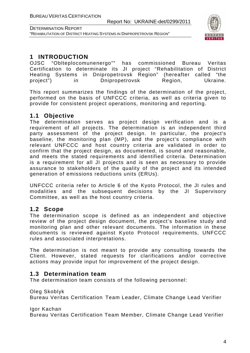

# **1 INTRODUCTION**

OJSC "Oblteplocomunenergo"" has commissioned Bureau Veritas Certification to determinate its JI project "Rehabilitation of District Heating Systems in Dnipropetrovsk Region" (hereafter called "the project") in Dnipropetrovsk Region, Ukraine.

This report summarizes the findings of the determination of the project, performed on the basis of UNFCCC criteria, as well as criteria given to provide for consistent project operations, monitoring and reporting.

# **1.1 Objective**

The determination serves as project design verification and is a requirement of all projects. The determination is an independent third party assessment of the project design. In particular, the project's baseline, the monitoring plan (MP), and the project's compliance with relevant UNFCCC and host country criteria are validated in order to confirm that the project design, as documented, is sound and reasonable, and meets the stated requirements and identified criteria. Determination is a requirement for all JI projects and is seen as necessary to provide assurance to stakeholders of the quality of the project and its intended generation of emissions reductions units (ERUs).

UNFCCC criteria refer to Article 6 of the Kyoto Protocol, the JI rules and modalities and the subsequent decisions by the JI Supervisory Committee, as well as the host country criteria.

# **1.2 Scope**

The determination scope is defined as an independent and objective review of the project design document, the project's baseline study and monitoring plan and other relevant documents. The information in these documents is reviewed against Kyoto Protocol requirements, UNFCCC rules and associated interpretations.

The determination is not meant to provide any consulting towards the Client. However, stated requests for clarifications and/or corrective actions may provide input for improvement of the project design.

# **1.3 Determination team**

The determination team consists of the following personnel:

Oleg Skoblyk

Bureau Veritas Certification Team Leader, Climate Change Lead Verifier

Igor Kachan

Bureau Veritas Certification Team Member, Climate Change Lead Verifier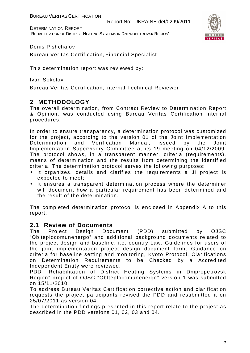

#### Denis Pishchalov

Bureau Veritas Certification, Financial Specialist

This determination report was reviewed by:

Ivan Sokolov

Bureau Veritas Certification, Internal Technical Reviewer

# **2 METHODOLOGY**

The overall determination, from Contract Review to Determination Report & Opinion, was conducted using Bureau Veritas Certification internal procedures.

In order to ensure transparency, a determination protocol was customized for the project, according to the version 01 of the Joint Implementation Determination and Verification Manual, issued by the Joint Implementation Supervisory Committee at its 19 meeting on 04/12/2009. The protocol shows, in a transparent manner, criteria (requirements), means of determination and the results from determining the identified criteria. The determination protocol serves the following purposes:

- It organizes, details and clarifies the requirements a JI project is expected to meet;
- It ensures a transparent determination process where the determiner will document how a particular requirement has been determined and the result of the determination.

The completed determination protocol is enclosed in Appendix A to this report.

### **2.1 Review of Documents**

The Project Design Document (PDD) submitted by OJSC "Oblteplocomunenergo" and additional background documents related to the project design and baseline, i.e. country Law, Guidelines for users of the joint implementation project design document form, Guidance on criteria for baseline setting and monitoring, Kyoto Protocol, Clarifications on Determination Requirements to be Checked by a Accredited Independent Entity were reviewed.

PDD "Rehabilitation of District Heating Systems in Dnipropetrovsk Region" project of OJSC "Oblteplocomunenergo" version 1 was submitted on 15/11/2010.

To address Bureau Veritas Certification corrective action and clarification requests the project participants revised the PDD and resubmitted it on 25/07/2011 as version 04.

The determination findings presented in this report relate to the project as described in the PDD versions 01, 02, 03 and 04.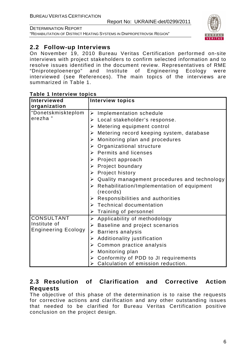"REHABILITATION OF DISTRICT HEATING SYSTEMS IN DNIPROPETROVSK REGION"



## **2.2 Follow-up Interviews**

On November 19, 2010 Bureau Veritas Certification performed on-site interviews with project stakeholders to confirm selected information and to resolve issues identified in the document review. Representatives of RME "Dniproteploenergo" and Institute of Engineering Ecology were interviewed (see References). The main topics of the interviews are summarized in Table 1.

| <b>Interviewed</b>         | <b>Interview topics</b>                           |
|----------------------------|---------------------------------------------------|
| organization               |                                                   |
| "Donetskmiskteplom         | $\triangleright$ Implementation schedule          |
| erezha"                    | $\triangleright$ Local stakeholder's response.    |
|                            | $\triangleright$ Metering equipment control       |
|                            | Metering record keeping system, database<br>≻     |
|                            | Monitoring plan and procedures<br>➤               |
|                            | Organizational structure<br>➤                     |
|                            | $\triangleright$ Permits and licenses             |
|                            | $\triangleright$ Project approach                 |
|                            | $\triangleright$ Project boundary                 |
|                            | $\triangleright$ Project history                  |
|                            | Quality management procedures and technology<br>➤ |
|                            | Rehabilitation/Implementation of equipment<br>≻   |
|                            | (records)                                         |
|                            | $\triangleright$ Responsibilities and authorities |
|                            | $\triangleright$ Technical documentation          |
|                            | Training of personnel<br>➤                        |
| <b>CONSULTANT</b>          | $\triangleright$ Applicability of methodology     |
| Institute of               | Baseline and project scenarios<br>➤               |
| <b>Engineering Ecology</b> | <b>Barriers analysis</b><br>≻                     |
|                            | Additionality justification<br>➤                  |
|                            | Common practice analysis<br>➤                     |
|                            | Monitoring plan<br>≻                              |
|                            | Conformity of PDD to JI requirements<br>➤         |
|                            | Calculation of emission reduction.                |

#### **Table 1 Interview topics**

# **2.3 Resolution of Clarification and Corrective Action Requests**

The objective of this phase of the determination is to raise the requests for corrective actions and clarification and any other outstanding issues that needed to be clarified for Bureau Veritas Certification positive conclusion on the project design.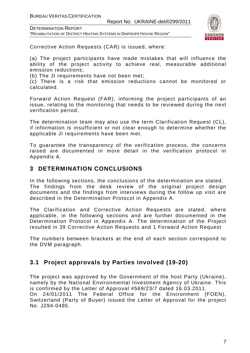DETERMINATION REPORT

"REHABILITATION OF DISTRICT HEATING SYSTEMS IN DNIPROPETROVSK REGION"



Corrective Action Requests (CAR) is issued, where:

(a) The project participants have made mistakes that will influence the ability of the project activity to achieve real, measurable additional emission reductions;

(b) The JI requirements have not been met;

(c) There is a risk that emission reductions cannot be monitored or calculated.

Forward Action Request (FAR), informing the project participants of an issue, relating to the monitoring that needs to be reviewed during the next verification period.

The determination team may also use the term Clarification Request (CL), if information is insufficient or not clear enough to determine whether the applicable JI requirements have been met.

To guarantee the transparency of the verification process, the concerns raised are documented in more detail in the verification protocol in Appendix A.

# **3 DETERMINATION CONCLUSIONS**

In the following sections, the conclusions of the determination are stated. The findings from the desk review of the original project design documents and the findings from interviews during the follow up visit are described in the Determination Protocol in Appendix A.

The Clarification and Corrective Action Requests are stated, where applicable, in the following sections and are further documented in the Determination Protocol in Appendix A. The determination of the Project resulted in 39 Corrective Action Requests and 1 Forward Action Request

The numbers between brackets at the end of each section correspond to the DVM paragraph.

# **3.1 Project approvals by Parties involved (19-20)**

The project was approved by the Government of the host Party (Ukraine), namely by the National Environmental Investment Agency of Ukraine. This is confirmed by the Letter of Approval #569/23/7 dated 16.03.2011. On 24/01/2011 The Federal Office for the Environment (FOEN), Switzerland (Party of Buyer) issued the Letter of Approval for the project No. J294-0485.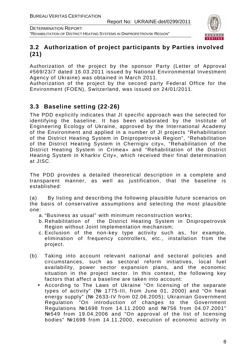



# **3.2 Authorization of project participants by Parties involved (21)**

Authorization of the project by the sponsor Party (Letter of Approval #569/23/7 dated 16.03.2011 issued by National Environmental Investment Agency of Ukraine) was obtained in March 2011.

Authorization of the project by the second party Federal Office for the Environment (FOEN), Switzerland, was issued on 24/01/2011.

# **3.3 Baseline setting (22-26)**

The PDD explicitly indicates that JI specific approach was the selected for identifying the baseline. It has been elaborated by the Institute of Engineering Ecology of Ukraine, approved by the International Academy of the Environment and applied in a number of JI projects "Rehabilitation of the District Heating System in Dnipropetrovsk Region", "Rehabilitation of the District Heating System in Chernigiv city», "Rehabilitation of the District Heating System in Crimea» and "Rehabilitation of the District Heating System in Kharkiv City», which received their final determination at JISC.

The PDD provides a detailed theoretical description in a complete and transparent manner, as well as justification, that the baseline is established:

(a) By listing and describing the following plausible future scenarios on the basis of conservative assumptions and selecting the most plausible one:

- a. "Business as usual" with minimum reconstruction works;
- b. Rehabilitation of the District Heating System in Dnipropetrovsk Region without Joint Implementation mechanism;
- c. Exclusion of the non-key type activity such as, for example, elimination of frequency controllers, etc., installation from the project.
- (b) Taking into account relevant national and sectoral policies and circumstances, such as sectoral reform initiatives, local fuel availability, power sector expansion plans, and the economic situation in the project sector. In this context, the following key factors that affect a baseline are taken into account:
	- According to The Laws of Ukraine "On licensing of the separate types of activity" (№ 1775-III, from June 01, 2000) and "On heat energy supply" (№ 2633-IV from 02.06.2005); Ukrainian Government Regulation "On introduction of changes to the Government Regulations №1698 from 14.11.2000 and №756 from 04.07.2001" №549 from 19.04.2006 and "On approval of the list of licensing bodies" №1698 from 14.11.2000, execution of economic activity in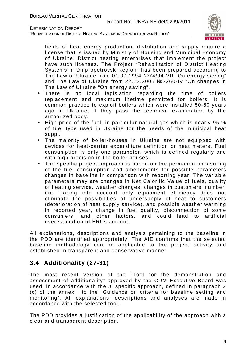"REHABILITATION OF DISTRICT HEATING SYSTEMS IN DNIPROPETROVSK REGION"



fields of heat energy production, distribution and supply require a license that is issued by Ministry of Housing and Municipal Economy of Ukraine. District heating enterprises that implement the project have such licenses. The Project "Rehabilitation of District Heating Systems in Dnipropetrovsk Region" has been prepared according to The Law of Ukraine from 01.07.1994 №74/94-VR "On energy saving" and The Law of Ukraine from 22.12.2005 №3260-IV "On changes in The Law of Ukraine "On energy saving".

- There is no local legislation regarding the time of boilers replacement and maximum lifetime permitted for boilers. It is common practice to exploit boilers which were installed 50-60 years ago in Ukraine, if they pass the technical examination by the authorized body.
- High price of the fuel, in particular natural gas which is nearly 95 % of fuel type used in Ukraine for the needs of the municipal heat suppl.
- The majority of boiler-houses in Ukraine are not equipped with devices for heat-carrier expenditure definition or heat meters. Fuel consumption is only one parameter, which is defined regularly and with high precision in the boiler houses.
- The specific project approach is based on the permanent measuring of the fuel consumption and amendments for possible parameters changes in baseline in comparison with reporting year. The variable parameters may are changes in Net Calorific Value of fuels, quality of heating service, weather changes, changes in customers' number, etc. Taking into account only equipment efficiency does not eliminate the possibilities of undersupply of heat to customers (deterioration of heat supply service), and possible weather warming in reported year, change in fuel quality, disconnection of some consumers, and other factors, and could lead to artificial overestimation of ERUs amount.

All explanations, descriptions and analysis pertaining to the baseline in the PDD are identified appropriately. The AIE confirms that the selected baseline methodology can be applicable to the project activity and established in transparent and conservative manner.

# **3.4 Additionality (27-31)**

The most recent version of the "Tool for the demonstration and assessment of additionality" approved by the CDM Executive Board was used, in accordance with the JI specific approach, defined in paragraph 2 (c) of the annex I to the "Guidance on criteria for baseline setting and monitoring". All explanations, descriptions and analyses are made in accordance with the selected tool.

The PDD provides a justification of the applicability of the approach with a clear and transparent description.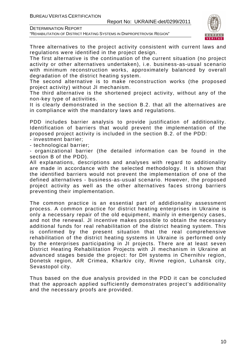DETERMINATION REPORT

"REHABILITATION OF DISTRICT HEATING SYSTEMS IN DNIPROPETROVSK REGION"



Three alternatives to the project activity consistent with current laws and regulations were identified in the project design.

The first alternative is the continuation of the current situation (no project activity or other alternatives undertaken), i.e. business-as-usual scenario with minimum reconstruction works, approximately balanced by overall degradation of the district heating system.

The second alternative is to make reconstruction works (the proposed project activity) without JI mechanism.

The third alternative is the shortened project activity, without any of the non-key type of activities.

It is clearly demonstrated in the section B.2. that all the alternatives are in compliance with the mandatory laws and regulations.

PDD includes barrier analysis to provide justification of additionality. Identification of barriers that would prevent the implementation of the proposed project activity is included in the section B.2. of the PDD:

- investment barrier;

- technological barrier;

- organizational barrier (the detailed information can be found in the section B of the PDD).

All explanations, descriptions and analyses with regard to additionality are made in accordance with the selected methodology. It is shown that the identified barriers would not prevent the implementation of one of the defined alternatives - business-as-usual scenario. However, the proposed project activity as well as the other alternatives faces strong barriers preventing their implementation.

The common practice is an essential part of addidionality assessment process. A common practice for district heating enterprises in Ukraine is only a necessary repair of the old equipment, mainly in emergency cases, and not the renewal. JI incentive makes possible to obtain the necessary additional funds for real rehabilitation of the district heating system. This is confirmed by the present situation that the real comprehensive rehabilitation of the district heating systems in Ukraine is performed only by the enterprises participating in JI projects. There are at least seven District Heating Rehabilitation Projects with JI mechanism in Ukraine at advanced stages beside the project: for DH systems in Chernihiv region, Donetsk region, AR Crimea, Kharkiv city, Rivne region, Luhansk city, Sevastopol city.

Thus based on the due analysis provided in the PDD it can be concluded that the approach applied sufficiently demonstrates project's additionality and the necessary proofs are provided.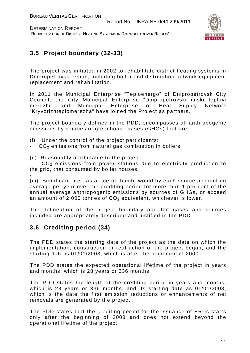

# **3.5 Project boundary (32-33)**

The project was initiated in 2002 to rehabilitate district heating systems in Dnipropetrovsk region, including boiler and distribution network equipment replacement and rehabilitation.

In 2011 the Municipal Enterprise "Teploenergo" of Dnipropetrovsk City Council, the City Municipal Enterprise "Dnipropetrovski miski teplovi merezhi" and Municipal Enterprise of Heat Supply Network "Kryvorizhteplomerezha" have joined the Project as partners.

The project boundary defined in the PDD, encompasses all anthropogenic emissions by sources of greenhouse gases (GHGs) that are:

- (i) Under the control of the project participants:
- $-CO<sub>2</sub>$  emissions from natural gas combustion in boilers
- (ii) Reasonably attributable to the project:

CO<sub>2</sub> emissions from power stations due to electricity production to the grid, that consumed by boiler houses.

- (iii) Significant, i.e., as a rule of thumb, would by each source account on average per year over the crediting period for more than 1 per cent of the annual average anthropogenic emissions by sources of GHGs, or exceed an amount of 2,000 tonnes of  $CO<sub>2</sub>$  equivalent, whichever is lower.

The delineation of the project boundary and the gases and sources included are appropriately described and justified in the PDD

# **3.6 Crediting period (34)**

The PDD states the starting date of the project as the date on which the implementation, construction or real action of the project began, and the starting date is 01/01/2003, which is after the beginning of 2000.

The PDD states the expected operational lifetime of the project in years and months, which is 28 years or 336 months.

The PDD states the length of the crediting period in years and months, which is 28 years or 336 months, and its starting date as 01/01/2003, which is the date the first emission reductions or enhancements of net removals are generated by the project.

The PDD states that the crediting period for the issuance of ERUs starts only after the beginning of 2008 and does not extend beyond the operational lifetime of the project.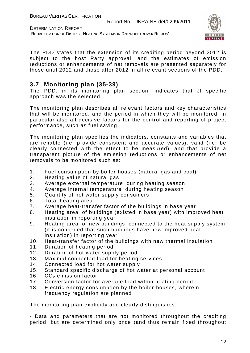

DETERMINATION REPORT "REHABILITATION OF DISTRICT HEATING SYSTEMS IN DNIPROPETROVSK REGION"

The PDD states that the extension of its crediting period beyond 2012 is subject to the host Party approval, and the estimates of emission reductions or enhancements of net removals are presented separately for those until 2012 and those after 2012 in all relevant sections of the PDD.

# **3.7 Monitoring plan (35-39)**

The PDD, in its monitoring plan section, indicates that JI specific approach was the selected.

The monitoring plan describes all relevant factors and key characteristics that will be monitored, and the period in which they will be monitored, in particular also all decisive factors for the control and reporting of project performance, such as fuel saving.

The monitoring plan specifies the indicators, constants and variables that are reliable (i.e. provide consistent and accurate values), valid (i.e. be clearly connected with the effect to be measured), and that provide a transparent picture of the emission reductions or enhancements of net removals to be monitored such as:

- 1. Fuel consumption by boiler-houses (natural gas and coal)
- 2. Heating value of natural gas
- 3. Average external temperature during heating season
- 4. Average internal temperature during heating season
- 5. Quantity of hot water supply consumers
- 6. Total heating area
- 7. Average heat-transfer factor of the buildings in base year
- 8. Heating area of buildings (existed in base year) with improved heat insulation in reporting year
- 9. Heating area of new buildings connected to the heat supply system (it is conceded that such buildings have new improved heat insulation) in reporting year
- 10. Heat-transfer factor of the buildings with new thermal insulation
- 11. Duration of heating period
- 12. Duration of hot water supply period
- 13. Maximal connected load for heating services
- 14. Connected load for hot water supply
- 15. Standard specific discharge of hot water at personal account
- 16.  $CO<sub>2</sub>$  emission factor
- 17. Conversion factor for average load within heating period
- 18. Electric energy consumption by the boiler-houses, wherein frequency regulation are planned

The monitoring plan explicitly and clearly distinguishes:

- Data and parameters that are not monitored throughout the crediting period, but are determined only once (and thus remain fixed throughout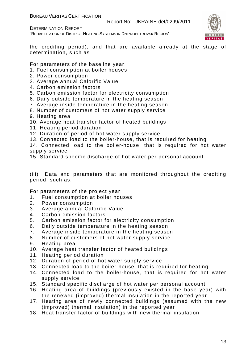Report No: UKRAINE-det/0299/2011





the crediting period), and that are available already at the stage of determination, such as

For parameters of the baseline year:

- 1. Fuel consumption at boiler houses
- 2. Power consumption
- 3. Average annual Calorific Value
- 4. Carbon emission factors
- 5. Carbon emission factor for electricity consumption
- 6. Daily outside temperature in the heating season
- 7. Average inside temperature in the heating season
- 8. Number of customers of hot water supply service
- 9. Heating area
- 10. Average heat transfer factor of heated buildings
- 11. Heating period duration
- 12. Duration of period of hot water supply service
- 13. Connected load to the boiler-house, that is required for heating
- 14. Connected load to the boiler-house, that is required for hot water supply service
- 15. Standard specific discharge of hot water per personal account

(iii) Data and parameters that are monitored throughout the crediting period, such as:

For parameters of the project year:

- 1. Fuel consumption at boiler houses
- 2. Power consumption
- 3. Average annual Calorific Value
- 4. Carbon emission factors
- 5. Carbon emission factor for electricity consumption
- 6. Daily outside temperature in the heating season
- 7. Average inside temperature in the heating season
- 8. Number of customers of hot water supply service
- 9. Heating area
- 10. Average heat transfer factor of heated buildings
- 11. Heating period duration
- 12. Duration of period of hot water supply service
- 13. Connected load to the boiler-house, that is required for heating
- 14. Connected load to the boiler-house, that is required for hot water supply service
- 15. Standard specific discharge of hot water per personal account
- 16. Heating area of buildings (previously existed in the base year) with the renewed (improved) thermal insulation in the reported year
- 17. Heating area of newly connected buildings (assumed with the new (improved) thermal insulation) in the reported year
- 18. Heat transfer factor of buildings with new thermal insulation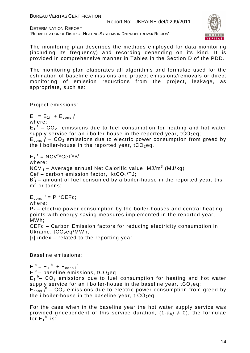Report No: UKRAINE-det/0299/2011

DETERMINATION REPORT "REHABILITATION OF DISTRICT HEATING SYSTEMS IN DNIPROPETROVSK REGION"



The monitoring plan describes the methods employed for data monitoring (including its frequency) and recording depending on its kind. It is provided in comprehensive manner in Tables in the Section D of the PDD.

The monitoring plan elaborates all algorithms and formulae used for the estimation of baseline emissions and project emissions/removals or direct monitoring of emission reductions from the project, leakage, as appropriate, such as:

Project emissions:

 $E_i^r = E_{1i}^r + E_{cons i}^r$ where:

 $E_{1i}$ <sup>r</sup> –  $CO_2$  emissions due to fuel consumption for heating and hot water supply service for an i boiler-house in the reported year,  $tCO_2$ eq;

 $E_{\text{cons}}$   $I - CO_2$  emissions due to electric power consumption from greed by the i boiler-house in the reported year,  $tCO_2$ eq.

$$
E_{1i}^r = NCV^{r*}Cef^{r*}B^r_i
$$

where:

 $\mathsf{NCV}^\mathsf{r}_\mathsf{i}$  – Average annual Net Calorific value, MJ/m $^3$  (MJ/kg)

Cef – carbon emission factor,  $ktCO<sub>2</sub>/TU$ ;

 $B^{r}$ <sub>i</sub> – amount of fuel consumed by a boiler-house in the reported year, ths  $\mathsf{m}^3$  or tonns;

 $E_{cons i}^r = P^{r*}CEFc;$ 

where:

 $P_r$  – electric power consumption by the boiler-houses and central heating points with energy saving measures implemented in the reported year, MWh;

CEFc – Carbon Emission factors for reducing electricity consumption in Ukraine, tCO<sub>2</sub>eq/MWh:

[r] index – related to the reporting year

Baseline emissions:

 $E_i^b = E_{1i}^b + E_{cons i}^b$  $E_i^b$  – baseline emissions, tCO<sub>2</sub>eq  $E_{1i}$ <sup>b</sup>– CO<sub>2</sub> emissions due to fuel consumption for heating and hot water supply service for an i boiler-house in the baseline year,  $tCO_2$ eq;  $E_{\text{cons}}^{\text{b}}$  – CO<sub>2</sub> emissions due to electric power consumption from greed by the i boiler-house in the baseline year, t  $CO_2$ eq.

For the case when in the baseline year the hot water supply service was provided (independent of this service duration,  $(1-a_b) \neq 0$ ), the formulae for  $E_1^b$  is: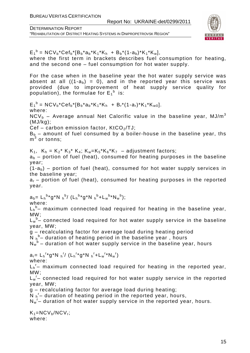

 $E_1^b = NCV_b*Cef_b* [B_b*a_b*K_1*K_h + B_b* (1-a_b)*K_1*K_w],$ where the first term in brackets describes fuel consumption for heating, and the second one – fuel consumption for hot water supply. For the case when in the baseline year the hot water supply service was absent at all  $((1-a<sub>b</sub>) = 0)$ , and in the reported year this service was provided (due to improvement of heat supply service quality for population), the formulae for  $E_1^b$  is:  $E_1^b = NCV_b*Cef_b* [B_b*a_b*K_1*K_h + B_r*(1-a_r)*K_1*K_{w0}].$ where:  $NCV<sub>b</sub>$  – Average annual Net Calorific value in the baseline year, MJ/m<sup>3</sup> (MJ/kg); Cef – carbon emission factor,  $KtCO<sub>2</sub>/TJ$ ;  $B_b$  – amount of fuel consumed by a boiler-house in the baseline year, ths  $\mathsf{m}}^3$  or tonns;  $K_1$ ,  $K_h = K_2^* K_3^* K_4$ ;  $K_w = K_5^* K_6^* K_7 -$  adjustment factors;  $a<sub>b</sub>$  – portion of fuel (heat), consumed for heating purposes in the baseline year;  $(1-a<sub>b</sub>)$  – portion of fuel (heat), consumed for hot water supply services in the baseline year;  $a_r$  – portion of fuel (heat), consumed for heating purposes in the reported year.  $a_b = L_h^{b*} g^* N h^{b} / (L_h^{b*} g^* N h^{b} + L_w^{b*} N_w^{b});$ where:  ${\sf L_h}^{\sf b}$ - maximum connected load required for heating in the baseline year, MW;  $\mathsf{L}_{\mathsf{w}}^{\mathsf{b}}$ - connected load required for hot water supply service in the baseline year, MW; g – recalculating factor for average load during heating period  $\overline{N}$   $h^b$  duration of heating period in the baseline year, hours  $N_w^b$  – duration of hot water supply service in the baseline year, hours  $a_r = L_h^{r*} g^* N_h^{r} / (L_h^{r*} g^* N_h^{r} + L_w^{r*} N_w^{r})$ where:  $L_h$ <sup>r</sup>- maximum connected load required for heating in the reported year, MW;  $L_w$ <sup>r</sup>- connected load required for hot water supply service in the reported year, MW; g – recalculating factor for average load during heating;  $\overline{N}$   $_{h}$ <sup>r</sup> – duration of heating period in the reported year, hours,  $N_w$ <sup>r</sup>- duration of hot water supply service in the reported year, hours.  $K_1=NCV_b/NCV_r;$ where: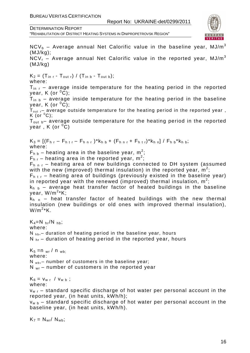"REHABILITATION OF DISTRICT HEATING SYSTEMS IN DNIPROPETROVSK REGION"



 $NCV<sub>b</sub>$  – Average annual Net Calorific value in the baseline year, MJ/m<sup>3</sup> (MJ/kg); NCV<sub>r</sub> – Average annual Net Calorific value in the reported year, MJ/m<sup>3</sup> (MJ/kg)

 $K_2 = (T_{\text{in }r} - T_{\text{out }r}) / (T_{\text{in }b} - T_{\text{out }b});$ where:

 $T_{\text{in}}$  - average inside temperature for the heating period in the reported year, K (or  $^0C$ );

 $T_{\text{in }b}$  – average inside temperature for the heating period in the baseline year, K (or  $^0C$ );

 $T_{\mathsf{out}}$   $_\mathsf{r}$  average outside temperature for the heating period in the reported year , K (or  $^0C$ );

T<sub>out b</sub>– average outside temperature for the heating period in the reported vear,  $K$  (or  $^{0}C$ )

 $K_3 = [(F_{h,r} - F_{h tr} - F_{h nr})^* k_{h b} + (F_{h nr} + F_{h tr})^* k_{h n}] / F_{h b}^* k_{h b};$ where:

 $F_{h b}$  – heating area in the baseline year, m<sup>2</sup>;

 $F_{h,r}$  – heating area in the reported year, m<sup>2</sup>;

 $F_{h,n,r}$  – heating area of new buildings connected to DH system (assumed with the new (improved) thermal insulation) in the reported year,  $\text{m}^2$ ;

 $F_{h,t,r}$  – heating area of buildings (previously existed in the baseline year) in reported year with the renewed (improved) thermal insulation,  $\mathsf{m}^2$ ;

 $k_{h b}$  – average heat transfer factor of heated buildings in the baseline year, W/m<sup>2</sup> \*K;

 $k<sub>h n</sub>$  – heat transfer factor of heated buildings with the new thermal insulation (new buildings or old ones with improved thermal insulation),  $W/m^2$ \*K.

 $K_4=N_{hr}/N_{hb}$ ; where:  $N_{hb}$ ,– duration of heating period in the baseline year, hours  $N_{\text{hr}}$  – duration of heating period in the reported year, hours

 $K_5 = n_{wr} / n_{wb}$ ; where:  $N_{wb}$ , – number of customers in the baseline year;  $N_{wr}$  – number of customers in the reported year

 $K_6 = v_{w r} / v_{w b}$ ;

where:

 $v_{w,r}$  – standard specific discharge of hot water per personal account in the reported year, (in heat units, kWh/h);

 $v_{w, b}$  – standard specific discharge of hot water per personal account in the baseline year, (in heat units, kWh/h).

 $K_7 = N_{wr} / N_{wbl}$ ;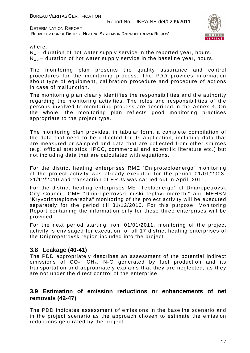

where:

 $N_{\text{wr}}$  duration of hot water supply service in the reported year, hours.  $N_{w<sub>b</sub>}$  – duration of hot water supply service in the baseline year, hours.

The monitoring plan presents the quality assurance and control procedures for the monitoring process. The PDD provides information about type of equipment, calibration procedure and procedure of actions in case of malfunction.

The monitoring plan clearly identifies the responsibilities and the authority regarding the monitoring activities. The roles and responsibilities of the persons involved to monitoring process are described in the Annex 3. On the whole, the monitoring plan reflects good monitoring practices appropriate to the project type.

The monitoring plan provides, in tabular form, a complete compilation of the data that need to be collected for its application, including data that are measured or sampled and data that are collected from other sources (e.g. official statistics, IPCC, commercial and scientific literature etc.) but not including data that are calculated with equations.

For the district heating enterprises RME "Dniproteploenergo" monitoring of the project activity was already executed for the period 01/01/2003- 31/12/2010 and transaction of ERUs was carried out in April, 2011.

For the district heating enterprises ME "Teploenergo" of Dnipropetrovsk City Council, CME "Dnipropetrovski miski teplovi merezhi" and MEHSN "Kryvorizhteplomerezha" monitoring of the project activity will be executed separately for the period till 31/12/2010. For this purpose, Monitoring Report containing the information only for these three enterprises will be provided.

For the next period starting from 01/01/2011, monitoring of the project activity is envisaged for execution for all 17 district heating enterprises of the Dnipropetrovsk region included into the project.

### **3.8 Leakage (40-41)**

The PDD appropriately describes an assessment of the potential indirect emissions of  $CO<sub>2</sub>$ ,  $CH<sub>4</sub>$ , N<sub>2</sub>O generated by fuel production and its transportation and appropriately explains that they are neglected, as they are not under the direct control of the enterprise.

### **3.9 Estimation of emission reductions or enhancements of net removals (42-47)**

The PDD indicates assessment of emissions in the baseline scenario and in the project scenario as the approach chosen to estimate the emission reductions generated by the project.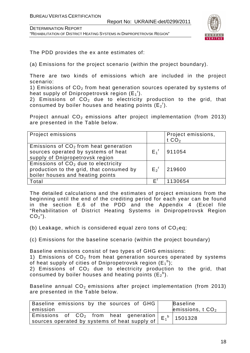DETERMINATION REPORT "REHABILITATION OF DISTRICT HEATING SYSTEMS IN DNIPROPETROVSK REGION"



The PDD provides the ex ante estimates of:

(a) Emissions for the project scenario (within the project boundary).

There are two kinds of emissions which are included in the project scenario:

1) Emissions of  $CO<sub>2</sub>$  from heat generation sources operated by systems of heat supply of Dnipropetrovsk region  $(E_1^t)$ .

2) Emissions of  $CO<sub>2</sub>$  due to electricity production to the grid, that consumed by boiler houses and heating points  $(E_2^r)$ .

Project annual  $CO<sub>2</sub>$  emissions after project implementation (from 2013) are presented in the Table below.

| Project emissions                                                                                                     |                    | Project emissions,<br>t $CO2$ |
|-----------------------------------------------------------------------------------------------------------------------|--------------------|-------------------------------|
| Emissions of $CO2$ from heat generation<br>sources operated by systems of heat<br>supply of Dnipropetrovsk region     | $E_1^r$            | 911054                        |
| Emissions of $CO2$ due to electricity<br>production to the grid, that consumed by<br>boiler houses and heating points | $E_2$ <sup>r</sup> | 219600                        |
| Total                                                                                                                 | F'                 | 1130654                       |

The detailed calculations and the estimates of project emissions from the beginning until the end of the crediting period for each year can be found in the section E.6 of the PDD and the Appendix 4 (Excel file "Rehabilitation of District Heating Systems in Dnipropetrovsk Region  $CO<sub>2</sub>$ ").

(b) Leakage, which is considered equal zero tons of  $CO<sub>2</sub>$ eq;

(c) Emissions for the baseline scenario (within the project boundary)

Baseline emissions consist of two types of GHG emissions:

1) Emissions of  $CO<sub>2</sub>$  from heat generation sources operated by systems of heat supply of cities of Dnipropetrovsk region  $(\mathsf{E_1}^\mathsf{b});$ 

2) Emissions of  $CO<sub>2</sub>$  due to electricity production to the grid, that consumed by boiler houses and heating points  $(E_2^b)$ .

Baseline annual  $CO<sub>2</sub>$  emissions after project implementation (from 2013) are presented in the Table below.

| Baseline emissions by the sources of GHG                                        | <b>Baseline</b>   |
|---------------------------------------------------------------------------------|-------------------|
| emission                                                                        | emissions, $tCO2$ |
| $\frac{1}{2}$ Emissions of CO <sub>2</sub> from heat generation $E_1^b$ 1501328 |                   |
| sources operated by systems of heat supply of                                   |                   |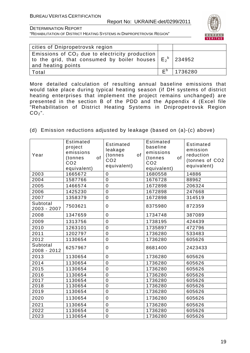

"REHABILITATION OF DISTRICT HEATING SYSTEMS IN DNIPROPETROVSK REGION"

| cities of Dnipropetrovsk region                                                                                                          |                |         |
|------------------------------------------------------------------------------------------------------------------------------------------|----------------|---------|
| Emissions of $CO2$ due to electricity production<br>  to the grid, that consumed by boiler houses $ E_2^b $ 234952<br>and heating points |                |         |
| Total                                                                                                                                    | F <sub>p</sub> | 1736280 |

More detailed calculation of resulting annual baseline emissions that would take place during typical heating season (if DH systems of district heating enterprises that implement the project remains unchanged) are presented in the section B of the PDD and the Appendix 4 (Excel file "Rehabilitation of District Heating Systems in Dnipropetrovsk Region  $CO<sub>2</sub>$ ".

(d) Emission reductions adjusted by leakage (based on (a)-(c) above)

| Year                    | Estimated<br>project<br>emissions<br>of<br>(tonnes<br>CO <sub>2</sub><br>equivalent) | <b>Estimated</b><br>leakage<br>of<br>(tonnes<br>CO <sub>2</sub><br>equivalent) | Estimated<br>baseline<br>emissions<br>of<br>(tonnes<br>CO <sub>2</sub><br>equivalent) | Estimated<br>emission<br>reduction<br>(tonnes of CO2<br>equivalent) |
|-------------------------|--------------------------------------------------------------------------------------|--------------------------------------------------------------------------------|---------------------------------------------------------------------------------------|---------------------------------------------------------------------|
| 2003                    | 1665672                                                                              | $\overline{0}$                                                                 | 1680558                                                                               | 14886                                                               |
| 2004                    | 1587766                                                                              | $\mathbf 0$                                                                    | 1676728                                                                               | 88962                                                               |
| 2005                    | 1466574                                                                              | $\overline{0}$                                                                 | 1672898                                                                               | 206324                                                              |
| 2006                    | 1425230                                                                              | $\mathbf 0$                                                                    | 1672898                                                                               | 247668                                                              |
| 2007                    | 1358379                                                                              | $\overline{0}$                                                                 | 1672898                                                                               | 314519                                                              |
| Subtotal<br>2003 - 2007 | 7503621                                                                              | $\overline{0}$                                                                 | 8375980                                                                               | 872359                                                              |
| 2008                    | 1347659                                                                              | $\overline{0}$                                                                 | 1734748                                                                               | 387089                                                              |
| 2009                    | 1313756                                                                              | $\overline{0}$                                                                 | 1738195                                                                               | 424439                                                              |
| 2010                    | 1263101                                                                              | $\overline{0}$                                                                 | 1735897                                                                               | 472796                                                              |
| 2011                    | 1202797                                                                              | $\mathbf 0$                                                                    | 1736280                                                                               | 533483                                                              |
| 2012                    | 1130654                                                                              | $\mathbf 0$                                                                    | 1736280                                                                               | 605626                                                              |
| Subtotal<br>2008 - 2012 | 6257967                                                                              | 0                                                                              | 8681400                                                                               | 2423433                                                             |
| 2013                    | 1130654                                                                              | $\overline{0}$                                                                 | 1736280                                                                               | 605626                                                              |
| 2014                    | 1130654                                                                              | $\overline{0}$                                                                 | 1736280                                                                               | 605626                                                              |
| 2015                    | 1130654                                                                              | $\mathbf 0$                                                                    | 1736280                                                                               | 605626                                                              |
| 2016                    | 1130654                                                                              | $\mathbf 0$                                                                    | 1736280                                                                               | 605626                                                              |
| 2017                    | 1130654                                                                              | $\overline{0}$                                                                 | 1736280                                                                               | 605626                                                              |
| 2018                    | 1130654                                                                              | $\overline{0}$                                                                 | 1736280                                                                               | 605626                                                              |
| 2019                    | 1130654                                                                              | $\mathbf 0$                                                                    | 1736280                                                                               | 605626                                                              |
| 2020                    | 1130654                                                                              | $\mathbf 0$                                                                    | 1736280                                                                               | 605626                                                              |
| 2021                    | 1130654                                                                              | $\overline{0}$                                                                 | 1736280                                                                               | 605626                                                              |
| 2022                    | 1130654                                                                              | $\overline{0}$                                                                 | 1736280                                                                               | 605626                                                              |
| 2023                    | 1130654                                                                              | 0                                                                              | 1736280                                                                               | 605626                                                              |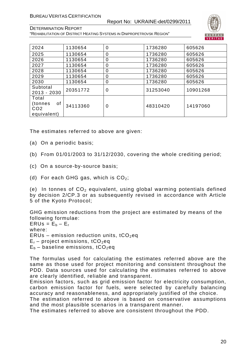#### Report No: UKRAINE-det/0299/2011



DETERMINATION REPORT "REHABILITATION OF DISTRICT HEATING SYSTEMS IN DNIPROPETROVSK REGION"

| 2024                                                     | 1130654  | 0 | 1736280  | 605626   |
|----------------------------------------------------------|----------|---|----------|----------|
| 2025                                                     | 1130654  | 0 | 1736280  | 605626   |
| 2026                                                     | 1130654  | 0 | 1736280  | 605626   |
| 2027                                                     | 1130654  | 0 | 1736280  | 605626   |
| 2028                                                     | 1130654  | 0 | 1736280  | 605626   |
| 2029                                                     | 1130654  | 0 | 1736280  | 605626   |
| 2030                                                     | 1130654  | 0 | 1736280  | 605626   |
| Subtotal<br>$2013 - 2030$                                | 20351772 | 0 | 31253040 | 10901268 |
| Total<br>οf<br>(tonnes<br>CO <sub>2</sub><br>equivalent) | 34113360 | 0 | 48310420 | 14197060 |

The estimates referred to above are given:

- (a) On a periodic basis;
- (b) From 01/01/2003 to 31/12/2030, covering the whole crediting period;
- (c) On a source-by-source basis;
- (d) For each GHG gas, which is  $CO<sub>2</sub>$ ;

(e) In tonnes of  $CO<sub>2</sub>$  equivalent, using global warming potentials defined by decision 2/CP.3 or as subsequently revised in accordance with Article 5 of the Kyoto Protocol;

GHG emission reductions from the project are estimated by means of the following formulae:

 $ERUs = E_b - E_r$ where: ERUs – emission reduction units,  $tCO<sub>2</sub>$ eq  $E_r$  – project emissions, tCO<sub>2</sub>eq  $E_b$  – baseline emissions, tCO<sub>2</sub>eq

The formulas used for calculating the estimates referred above are the same as those used for project monitoring and consistent throughout the PDD. Data sources used for calculating the estimates referred to above are clearly identified, reliable and transparent.

Emission factors, such as grid emission factor for electricity consumption, carbon emission factor for fuels, were selected by carefully balancing accuracy and reasonableness, and appropriately justified of the choice.

The estimation referred to above is based on conservative assumptions and the most plausible scenarios in a transparent manner.

The estimates referred to above are consistent throughout the PDD.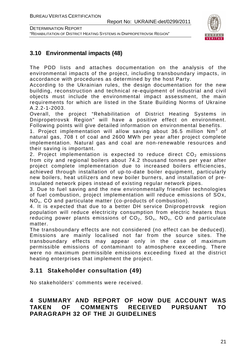

# **3.10 Environmental impacts (48)**

The PDD lists and attaches documentation on the analysis of the environmental impacts of the project, including transboundary impacts, in accordance with procedures as determined by the host Party.

According to the Ukrainian rules, the design documentation for the new building, reconstruction and technical re-equipment of industrial and civil objects must include the environmental impact assessment, the main requirements for which are listed in the State Building Norms of Ukraine A.2.2-1-2003.

Overall, the project "Rehabilitation of District Heating Systems in Dnipropetrovsk Region" will have a positive effect on environment. Following points will give detailed information on environmental benefits.

1. Project implementation will allow saving about 36.5 million  $Nm^3$  of natural gas, 708 t of coal and 2600 MWh per year after project complete implementation. Natural gas and coal are non-renewable resources and their saving is important.

2. Project implementation is expected to reduce direct  $CO<sub>2</sub>$  emissions from city and regional boilers about 74.2 thousand tonnes per year after project complete implementation due to increased boilers efficiencies, achieved through installation of up-to-date boiler equipment, particularly new boilers, heat utilizers and new boiler burners, and installation of preinsulated network pipes instead of existing regular network pipes.

3. Due to fuel saving and the new environmentally friendlier technologies of fuel combustion, project implementation will reduce emissions of SOx, NOx, CO and particulate matter (co-products of combustion).

4. It is expected that due to a better DH service Dnipropetrovsk region population will reduce electricity consumption from electric heaters thus reducing power plants emissions of  $CO_2$ ,  $SO_x$ ,  $NO_x$ ,  $CO$  and particulate matter.

The transboundary effects are not considered (no effect can be deduced). Emissions are mainly localised not far from the source sites. The transboundary effects may appear only in the case of maximum permissible emissions of contaminant to atmosphere exceeding. There were no maximum permissible emissions exceeding fixed at the district heating enterprises that implement the project.

# **3.11 Stakeholder consultation (49)**

No stakeholders' comments were received.

# **4 SUMMARY AND REPORT OF HOW DUE ACCOUNT WAS TAKEN OF COMMENTS RECEIVED PURSUANT TO PARAGRAPH 32 OF THE JI GUIDELINES**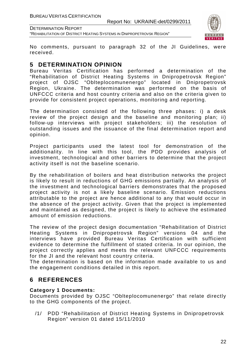

No comments, pursuant to paragraph 32 of the JI Guidelines, were received.

# **5 DETERMINATION OPINION**

Bureau Veritas Certification has performed a determination of the "Rehabilitation of District Heating Systems in Dnipropetrovsk Region" project of OJSC "Oblteplocomunenergo" located in Dnipropetrovsk Region, Ukraine. The determination was performed on the basis of UNFCCC criteria and host country criteria and also on the criteria given to provide for consistent project operations, monitoring and reporting.

The determination consisted of the following three phases: i) a desk review of the project design and the baseline and monitoring plan; ii) follow-up interviews with project stakeholders; iii) the resolution of outstanding issues and the issuance of the final determination report and opinion.

Project participants used the latest tool for demonstration of the additionality. In line with this tool, the PDD provides analysis of investment, technological and other barriers to determine that the project activity itself is not the baseline scenario.

By the rehabilitation of boilers and heat distribution networks the project is likely to result in reductions of GHG emissions partially. An analysis of the investment and technological barriers demonstrates that the proposed project activity is not a likely baseline scenario. Emission reductions attributable to the project are hence additional to any that would occur in the absence of the project activity. Given that the project is implemented and maintained as designed, the project is likely to achieve the estimated amount of emission reductions.

The review of the project design documentation "Rehabilitation of District Heating Systems in Dnipropetrovsk Region" versions 04 and the interviews have provided Bureau Veritas Certification with sufficient evidence to determine the fulfillment of stated criteria. In our opinion, the project correctly applies and meets the relevant UNFCCC requirements for the JI and the relevant host country criteria.

The determination is based on the information made available to us and the engagement conditions detailed in this report.

# **6 REFERENCES**

#### **Category 1 Documents:**

Documents provided by OJSC "Oblteplocomunenergo" that relate directly to the GHG components of the project.

/1/ PDD "Rehabilitation of District Heating Systems in Dnipropetrovsk Region" version 01 dated 15/11/2010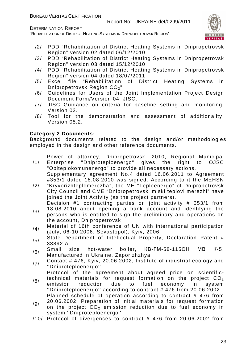"REHABILITATION OF DISTRICT HEATING SYSTEMS IN DNIPROPETROVSK REGION"



- /2/ PDD "Rehabilitation of District Heating Systems in Dnipropetrovsk Region" version 02 dated 06/12/2010
- /3/ PDD "Rehabilitation of District Heating Systems in Dnipropetrovsk Region" version 03 dated 15/12/2010
- /4/ PDD "Rehabilitation of District Heating Systems in Dnipropetrovsk Region" version 04 dated 18/07/2011
- /5/ Excel file "Rehabilitation of District Heating Systems in Dnipropetrovsk Region CO<sub>2</sub>"
- /6/ Guidelines for Users of the Joint Implementation Project Design Document Form/Version 04, JISC.
- /7/ JISC Guidance on criteria for baseline setting and monitoring. Version 02.
- /8/ Tool for the demonstration and assessment of additionality, Version 05.2.

#### **Category 2 Documents:**

Background documents related to the design and/or methodologies employed in the design and other reference documents.

Power of attorney, Dnipropetrovsk, 2010, Regional Municipal

- /1/ Enterprise "Dniproteploenergo" gives the right to OJSC "Oblteplokomunenergo" to provide all necessary actions. Supplementary agreement No.4 dated 16.06.2011 to Agreement #353/1 dated 18.08.2010 was signed. According to it the MEHSN
- /2/ "Kryvorizhteplomerezha", the ME "Teploenergo" of Dnipropetrovsk City Council and CME "Dnipropetrovski miski teplovi merezhi" have joined the Joint Activity (as the project partners).

Decision #1 contracting parties on joint activity # 353/1 from 18.08.2010 about opening a bank account and identifying the

- /3/ persons who is entitled to sign the preliminary and operations on the account, Dnipropetrovsk
- /4/ Material of 16th conference of UN with international participation (July, 06-10 2006, Sevastopol), Kyiv, 2006
- $/5/$  State Department of Intellectual Property, Declaration Patent # 33892 A
- /6/ Small size hot-water boiler, КВ-ГМ-58-115СН МВ <sup>К</sup>-5, Manufactured in Ukraine, Zaporizhzhya
- /7/ Contact # 476, Kyiv, 20.06.2002, Institute of industrial ecology and ''Dniproteploenergo''

Protocol of the agreement about agreed price on scientific-

- /8/ technical materials for request formation on the project  $CO<sub>2</sub>$ emission reduction due to fuel economy in system ''Dniproteploenergo'' according to contract # 476 from 20.06.2002 Planned schedule of operation according to contract # 476 from
- /9/ 20.06.2002. Preparation of initial materials for request formation on the project  $CO<sub>2</sub>$  emission reduction due to fuel economy in system ''Dniproteploenergo''
- /10/ Protocol of divergences to contract # 476 from 20.06.2002 from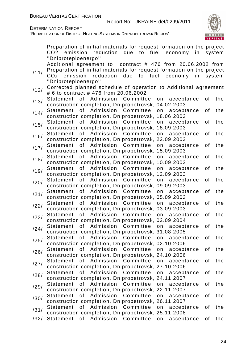

|      | Preparation of initial materials for request formation on the project          |    |        |
|------|--------------------------------------------------------------------------------|----|--------|
|      | reduction due to fuel economy in<br>CO <sub>2</sub><br>emission                |    | system |
|      | "Dniproteploenergo"                                                            |    |        |
|      | Additional agreement to contract # 476 from 20.06.2002 from                    |    |        |
|      | Preparation of initial materials for request formation on the project          |    |        |
| /11/ | reduction<br>emission<br>due<br>to<br>fuel<br>economy<br>in<br>CO <sub>2</sub> |    | system |
|      | "Dniproteploenergo"                                                            |    |        |
|      | Corrected planned schedule of operation to Additional agreement                |    |        |
| /12/ | # 6 to contract # 476 from 20.06.2002                                          |    |        |
|      | of Admission Committee<br>Statement<br>on<br>acceptance                        | οf | the    |
| /13/ | construction completion, Dnipropetrovsk, 04.02.2003                            |    |        |
|      |                                                                                |    |        |
| /14/ | Admission<br>Committee<br><b>Statement</b><br>0f<br>on<br>acceptance           | of | the    |
|      | construction completion, Dnipropetrovsk, 18.06.2003                            |    |        |
| /15/ | of Admission Committee<br>Statement<br>on<br>acceptance                        | of | the    |
|      | construction completion, Dnipropetrovsk,<br>18.09.2003                         |    |        |
| /16/ | Admission Committee<br>of<br>Statement<br>on<br>acceptance                     | of | the    |
|      | construction completion, Dnipropetrovsk, 22.09.2003                            |    |        |
| /17/ | 0f<br>Admission Committee<br>Statement<br>acceptance<br>on                     | of | the    |
|      | construction completion, Dnipropetrovsk, 15.09.2003                            |    |        |
|      | Admission Committee<br>0f<br>Statement<br>acceptance<br>on                     | of | the    |
| /18/ | construction completion, Dnipropetrovsk, 10.09.2003                            |    |        |
|      | of Admission Committee<br>Statement<br>on<br>acceptance                        | of | the    |
| /19/ | construction completion, Dnipropetrovsk, 12.09.2003                            |    |        |
|      | of l<br>Admission Committee<br>Statement<br>on<br>acceptance                   | of | the    |
| /20/ | construction completion, Dnipropetrovsk, 09.09.2003                            |    |        |
|      | Admission<br>Committee<br><b>Statement</b><br>of                               | of | the    |
| /21/ | acceptance<br>on                                                               |    |        |
|      | construction completion, Dnipropetrovsk, 05.09.2003                            |    |        |
| /22/ | of Admission Committee<br>Statement<br>on<br>acceptance                        | of | the    |
|      | construction completion, Dnipropetrovsk, 03.09.2003                            |    |        |
| /23/ | of<br>Admission Committee<br><b>Statement</b><br>acceptance<br>on              | of | the    |
|      | construction completion, Dnipropetrovsk, 02.09.2004                            |    |        |
| /24/ | of<br>Admission<br>Committee<br><b>Statement</b><br>acceptance<br>on           | of | the    |
|      | construction completion, Dnipropetrovsk, 31.08.2005                            |    |        |
| /25/ | of Admission Committee<br>Statement<br>acceptance<br>on                        | οf | the    |
|      | construction completion, Dnipropetrovsk, 02.10.2006                            |    |        |
|      | Admission<br>Committee<br>Statement<br>0f<br>on<br>acceptance                  | of | the    |
| /26/ | construction completion, Dnipropetrovsk, 24.10.2006                            |    |        |
|      | 0f<br>Admission Committee<br>Statement<br>on<br>acceptance                     | οf | the    |
| /27/ | construction completion, Dnipropetrovsk, 27.10.2006                            |    |        |
|      | 0f<br>Admission Committee<br><b>Statement</b><br>on<br>acceptance              | of | the    |
| /28/ | construction completion, Dnipropetrovsk, 24.11.2007                            |    |        |
|      | 0f<br>Admission<br>Committee<br><b>Statement</b><br>on<br>acceptance           | οf | the    |
| /29/ | construction completion, Dnipropetrovsk, 22.11.2007                            |    |        |
|      |                                                                                |    |        |
| /30/ | of<br>Admission Committee<br>Statement<br>on<br>acceptance                     | οf | the    |
|      | construction completion, Dnipropetrovsk, 26.11.2007                            |    |        |
| /31/ | Admission Committee<br><b>Statement</b><br>0f<br>on<br>acceptance              | οf | the    |
|      | construction completion, Dnipropetrovsk, 25.11.2008                            |    |        |
| /32/ | Admission<br>Committee<br><b>Statement</b><br>of<br>on<br>acceptance           | οf | the    |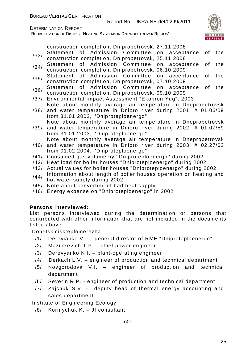

"REHABILITATION OF DISTRICT HEATING SYSTEMS IN DNIPROPETROVSK REGION"

construction completion, Dnipropetrovsk, 27.11.2008

- /33/ Statement of Admission Committee on acceptance of the<br>construction completion, Dnipropetrovsk, 25.11.2008
- /34/ Statement of Admission Committee on acceptance of the<br>/34/ construction.completion,Dnipropetrovsk,06.10.2009
- /35/ Statement of Admission Committee on acceptance of the construction completion, Dnipropetrovsk, 07.10.2009
- /36/ Statement of Admission Committee on acceptance of the construction completion, Dnipropetrovsk, 09.10.2009
- /37/ Environmental Impact Assessment "Ekopron Yug", 2003
- /38/ and water temperature in Dnipro river during 2001, # 01.06/09 Note about monthly average air temperature in Dnepropetrovsk
- from 31.01.2002, ''Dniproteploenergo'' Note about monthly average air temperature in Dnepropetrovsk
- /39/ and water temperature in Dnipro river during 2002, # 01.07/59 from 31.01.2003, ''Dniproteploenergo''
	- Note about monthly average air temperature in Dnepropetrovsk
- /40/ and water temperature in Dnipro river during 2003, # 02.27/62 from 01.02.2004, ''Dniproteploenergo''
- /41/ Consumed gas volume by ''Dniproteploenergo'' during 2002
- /42/ Heat load for boiler houses "Dniproteploenergo" during 2002
- /43/ Actual values for boiler houses "Dniproteploenergo" during 2002
- /44/ Information about length of boiler houses operation on heating and hot water supply during 2002
- /45/ Note about converting of bad heat supply
- /46/ Energy expense on "Dniproteploenergo" in 2002

### **Persons interviewed:**

List persons interviewed during the determination or persons that contributed with other information that are not included in the documents listed above.

Donetskmiskteplomerezha

- /1/ Derevianko V.I. general director of RME "Dniproteploenergo"
- /2/ Mazurkevich T.P. chief power engineer
- /3/ Derevyanko N.I. plant-operating engineer
- /4/ Derkach L.V. engineer of production and technical department
- /5/ Novgorodova V.I. engineer of production and technical department
- /6/ Severin R.P. engineer of production and technical department
- /7/ Zajchuk S.V. deputy head of thermal energy accounting and sales department

Institute of Engineering Ecology

/8/ Korniychuk K. – JI consultant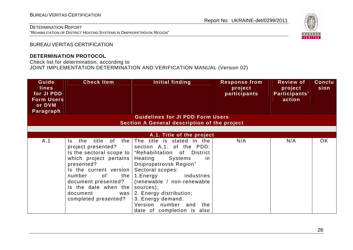"REHABILITATION OF DISTRICT HEATING SYSTEMS IN DNIPROPETROVSK REGION"

# Report No: UKRAINE-det/0299/2011



BUREAU VERITAS CERTIFICATION

#### **DETERMINATION PROTOCOL**

Check list for determination, according to

JOINT IMPLEMENTATION DETERMINATION AND VERIFICATION MANUAL (Version 02)

| Guide<br><b>lines</b><br>for JI PDD<br><b>Form Users</b><br>or DVM<br>Paragraph | <b>Check Item</b>                                                                                                                                                                                                               | Initial finding                                                                                                                                                                                                                                                                                                                                                                       | <b>Response from</b><br>project<br>participants | <b>Review of</b><br>project<br>Participants'<br>action | <b>Conclu</b><br>sion |
|---------------------------------------------------------------------------------|---------------------------------------------------------------------------------------------------------------------------------------------------------------------------------------------------------------------------------|---------------------------------------------------------------------------------------------------------------------------------------------------------------------------------------------------------------------------------------------------------------------------------------------------------------------------------------------------------------------------------------|-------------------------------------------------|--------------------------------------------------------|-----------------------|
|                                                                                 |                                                                                                                                                                                                                                 | <b>Guidelines for JI PDD Form Users</b><br><b>Section A General description of the project</b>                                                                                                                                                                                                                                                                                        |                                                 |                                                        |                       |
|                                                                                 |                                                                                                                                                                                                                                 |                                                                                                                                                                                                                                                                                                                                                                                       |                                                 |                                                        |                       |
|                                                                                 |                                                                                                                                                                                                                                 | A.1. Title of the project                                                                                                                                                                                                                                                                                                                                                             |                                                 |                                                        |                       |
| A.1                                                                             | the<br>title of<br>the<br>Is.<br>project presented?<br>which project pertains<br>presented?<br>Is the current version<br>of<br>number<br>document presented?<br>Is the date when the<br>document<br>was<br>completed presented? | The title is stated in the<br>section A.1. of the PDD:<br>Is the sectoral scope to   "Rehabilitation of District<br>Heating<br>Systems<br>-in<br>Dnipropetrovsk Region"<br>Sectoral scopes:<br>the $\vert$ 1. Energy<br>industries<br>(renewable / non-renewable<br>sources);<br>2. Energy distribution;<br>3. Energy demand.<br>Version number and the<br>date of completion is also | N/A                                             | N/A                                                    | <b>OK</b>             |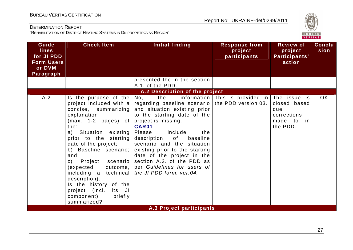

| Guide<br><b>lines</b><br>for JI PDD<br><b>Form Users</b><br>or DVM<br>Paragraph | <b>Check Item</b>                                                                                                                                                                                                                                                                                                                                                                                                                        | <b>Initial finding</b>                                                                                                                                                                                                                                                                                                                                                                                               | <b>Response from</b><br>project<br>participants | <b>Review of</b><br>project<br>Participants'<br>action       | <b>Conclu</b><br>sion |
|---------------------------------------------------------------------------------|------------------------------------------------------------------------------------------------------------------------------------------------------------------------------------------------------------------------------------------------------------------------------------------------------------------------------------------------------------------------------------------------------------------------------------------|----------------------------------------------------------------------------------------------------------------------------------------------------------------------------------------------------------------------------------------------------------------------------------------------------------------------------------------------------------------------------------------------------------------------|-------------------------------------------------|--------------------------------------------------------------|-----------------------|
|                                                                                 |                                                                                                                                                                                                                                                                                                                                                                                                                                          | presented the in the section<br>A.1. of the PDD.                                                                                                                                                                                                                                                                                                                                                                     |                                                 |                                                              |                       |
|                                                                                 |                                                                                                                                                                                                                                                                                                                                                                                                                                          | A.2 Description of the project                                                                                                                                                                                                                                                                                                                                                                                       |                                                 |                                                              |                       |
| A.2                                                                             | Is the purpose of the<br>project included with a<br>concise, summarizing<br>explanation<br>$(max. 1-2 pages)$ of<br>the:<br>a) Situation existing<br>prior to the starting<br>date of the project;<br>b) Baseline scenario;<br>and<br>$\mathsf{C}$ )<br>Project scenario<br>(expected<br>outcome,<br>including a technical<br>description).<br>Is the history of the<br>project (incl.<br>its JI<br>component)<br>briefly<br>summarized? | the<br>No,<br>regarding baseline scenario   the PDD version 03.<br>and situation existing prior<br>to the starting date of the<br>project is missing.<br>CAR01<br>include<br>Please<br>the<br>baseline<br>description<br>of l<br>scenario and the situation<br>existing prior to the starting<br>date of the project in the<br>section A.2. of the PDD as<br>per Guidelines for users of<br>the JI PDD form, ver.04. | information This is provided in The issue is    | closed based<br>due<br>corrections<br>made to in<br>the PDD. | <b>OK</b>             |
|                                                                                 |                                                                                                                                                                                                                                                                                                                                                                                                                                          | A.3 Project participants                                                                                                                                                                                                                                                                                                                                                                                             |                                                 |                                                              |                       |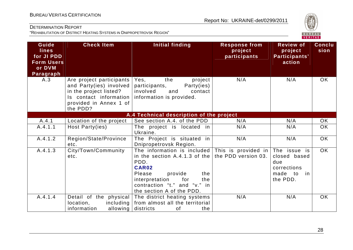

| Guide<br><b>lines</b><br>for JI PDD<br><b>Form Users</b><br>or DVM<br><b>Paragraph</b> | <b>Check Item</b>                                                                                                                             | Initial finding                                                                                                                                                                                                                         | <b>Response from</b><br>project<br>participants | <b>Review of</b><br>project<br>Participants'<br>action                                      | <b>Conclu</b><br>sion |
|----------------------------------------------------------------------------------------|-----------------------------------------------------------------------------------------------------------------------------------------------|-----------------------------------------------------------------------------------------------------------------------------------------------------------------------------------------------------------------------------------------|-------------------------------------------------|---------------------------------------------------------------------------------------------|-----------------------|
| A.3                                                                                    | Are project participants<br>and Party(ies) involved<br>in the project listed?<br>Is contact information<br>provided in Annex 1 of<br>the PDD? | project<br>Yes,<br>the<br>participants,<br>Party(ies)<br>involved<br>and<br>contact<br>information is provided.                                                                                                                         | N/A                                             | N/A                                                                                         | <b>OK</b>             |
|                                                                                        |                                                                                                                                               | A.4 Technical description of the project                                                                                                                                                                                                |                                                 |                                                                                             |                       |
| A.4.1                                                                                  | Location of the project                                                                                                                       | See section A.4. of the PDD                                                                                                                                                                                                             | N/A                                             | N/A                                                                                         | OK                    |
| A.4.1.1                                                                                | Host Party(ies)                                                                                                                               | The project is located in<br>Ukraine.                                                                                                                                                                                                   | N/A                                             | N/A                                                                                         | <b>OK</b>             |
| A.4.1.2                                                                                | Region/State/Province<br>etc.                                                                                                                 | The Project is situated in<br>Dnipropetrovsk Region.                                                                                                                                                                                    | N/A                                             | N/A                                                                                         | <b>OK</b>             |
| A.4.1.3                                                                                | City/Town/Community<br>etc.                                                                                                                   | The information is included This is provided in The issue is<br>in the section A.4.1.3 of the<br>PDD.<br>CAR02<br>provide<br>Please<br>the<br>for<br>interpretation<br>the<br>contraction "t." and "v." in<br>the section A of the PDD. | the PDD version 03.                             | closed based<br>due<br>corrections<br>made<br>$\overline{\phantom{a}}$ to<br>in<br>the PDD. | OK                    |
| A.4.1.4                                                                                | Detail of the physical<br>location,<br>including<br>information<br>allowing                                                                   | The district heating systems<br>from almost all the territorial<br>districts<br>the<br>of                                                                                                                                               | N/A                                             | N/A                                                                                         | <b>OK</b>             |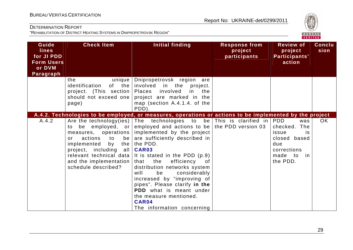

| Guide<br><b>lines</b><br>for JI PDD<br><b>Form Users</b><br>or DVM<br>Paragraph | <b>Check Item</b>                                                                                                                                                                       | Initial finding                                                                                                                                                                                                                                                                                                                                                                                                                                                                                                                                                                                                                              | <b>Response from</b><br>project<br>participants | <b>Review of</b><br>project<br>Participants'<br>action                                                | <b>Conclu</b><br>sion |
|---------------------------------------------------------------------------------|-----------------------------------------------------------------------------------------------------------------------------------------------------------------------------------------|----------------------------------------------------------------------------------------------------------------------------------------------------------------------------------------------------------------------------------------------------------------------------------------------------------------------------------------------------------------------------------------------------------------------------------------------------------------------------------------------------------------------------------------------------------------------------------------------------------------------------------------------|-------------------------------------------------|-------------------------------------------------------------------------------------------------------|-----------------------|
|                                                                                 | unique<br>the<br>identification<br>project. (This section)<br>should not exceed one<br>page)                                                                                            | Dnipropetrovsk region are<br>of the involved<br>in the<br>project.<br>involved<br>Places<br>in the<br>project are marked in the<br>map (section A.4.1.4. of the<br>PDD).                                                                                                                                                                                                                                                                                                                                                                                                                                                                     |                                                 |                                                                                                       |                       |
| A.4.2                                                                           | to<br>measures, operations<br>actions<br>to<br>be<br>or<br>implemented<br>by<br>project, including<br>all l<br>relevant technical data<br>and the implementation<br>schedule described? | A.4.2. Technologies to be employed, or measures, operations or actions to be implemented by the project<br>Are the technology(ies) The technologies to be This is clarified in PDD<br>be employed, or employed and actions to be the PDD version 03<br>implemented by the project<br>are sufficiently described in<br>the $ $ the PDD.<br>CAR03<br>It is stated in the PDD (p.9)<br>the<br>efficiency<br>that<br>of<br>distribution networks system<br>will<br>considerably<br>be<br>increased by "improving of<br>pipes". Please clarify in the<br>PDD what is meant under<br>the measure mentioned.<br>CAR04<br>The information concerning |                                                 | was<br>checked. The<br>issue<br>is<br>closed based<br>due<br>corrections<br>made to<br>in<br>the PDD. | OK                    |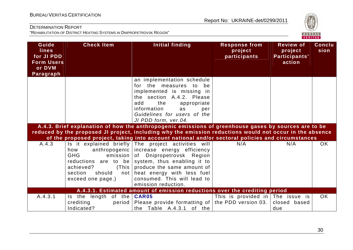

| Guide<br><b>lines</b><br>for JI PDD<br><b>Form Users</b><br>or DVM<br>Paragraph | <b>Check Item</b>                                                                                                                               | Initial finding                                                                                                                                                                                                                                                | <b>Response from</b><br>project<br>participants | <b>Review of</b><br>project<br>Participants'<br>action | Conclu<br>sion |
|---------------------------------------------------------------------------------|-------------------------------------------------------------------------------------------------------------------------------------------------|----------------------------------------------------------------------------------------------------------------------------------------------------------------------------------------------------------------------------------------------------------------|-------------------------------------------------|--------------------------------------------------------|----------------|
|                                                                                 |                                                                                                                                                 | an implementation schedule<br>for the measures to<br>be<br>implemented is missing in<br>the section A.4.2. Please<br>add<br>the<br>appropriate<br>information<br>as<br>per<br>Guidelines for users of the<br>JI PDD form, ver.04.                              |                                                 |                                                        |                |
|                                                                                 |                                                                                                                                                 | A.4.3. Brief explanation of how the anthropogenic emissions of greenhouse gases by sources are to be<br>reduced by the proposed JI project, including why the emission reductions would not occur in the absence                                               |                                                 |                                                        |                |
|                                                                                 |                                                                                                                                                 | of the proposed project, taking into account national and/or sectoral policies and circumstances                                                                                                                                                               |                                                 |                                                        |                |
| A.4.3                                                                           | anthropogenic  <br>how<br><b>GHG</b><br>emission<br>reductions are to be<br>achieved?<br>(This<br>section<br>should<br>not<br>exceed one page.) | Is it explained briefly The project activities will<br>increase energy efficiency<br>of Dnipropetrovsk Region<br>system, thus enabling it to<br>produce the same amount of<br>heat energy with less fuel<br>consumed. This will lead to<br>emission reduction. | N/A                                             | N/A                                                    | <b>OK</b>      |
|                                                                                 |                                                                                                                                                 | A.4.3.1. Estimated amount of emission reductions over the crediting period                                                                                                                                                                                     |                                                 |                                                        |                |
| A.4.3.1                                                                         | Is the length of the   CAR05<br>crediting<br>period<br>Indicated?                                                                               | Please provide formatting of the PDD version 03.<br>the Table A.4.3.1<br>of the                                                                                                                                                                                | This is provided in The issue is                | closed based<br>due                                    | <b>OK</b>      |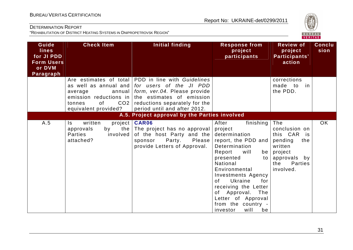

| Guide<br><b>lines</b><br>for JI PDD<br><b>Form Users</b><br>or DVM<br>Paragraph | <b>Check Item</b>                                                                                                               | Initial finding                                                                                                                                                                                             | <b>Response from</b><br>project<br>participants                                                                                                                                                                                                                                                                                              | <b>Review of</b><br>project<br>Participants'<br>action                                                                               | Conclu<br>sion |
|---------------------------------------------------------------------------------|---------------------------------------------------------------------------------------------------------------------------------|-------------------------------------------------------------------------------------------------------------------------------------------------------------------------------------------------------------|----------------------------------------------------------------------------------------------------------------------------------------------------------------------------------------------------------------------------------------------------------------------------------------------------------------------------------------------|--------------------------------------------------------------------------------------------------------------------------------------|----------------|
|                                                                                 | as well as annual and<br>annual<br>average<br>emission reductions in<br>CO <sub>2</sub><br>0f<br>tonnes<br>equivalent provided? | Are estimates of total PDD in line with Guidelines<br>for users of the JI PDD<br>form, ver.04. Please provide<br>the estimates of emission<br>reductions separately for the<br>period until and after 2012. |                                                                                                                                                                                                                                                                                                                                              | corrections<br>made to<br>in<br>the PDD.                                                                                             |                |
|                                                                                 |                                                                                                                                 | A.5. Project approval by the Parties involved                                                                                                                                                               |                                                                                                                                                                                                                                                                                                                                              |                                                                                                                                      |                |
| A.5                                                                             | written<br>Is.<br>approvals<br>by<br><b>Parties</b><br>involved<br>attached?                                                    | project   CAR06<br>the The project has no approval<br>of the host Party and the<br>Party.<br>Please  <br>sponsor<br>provide Letters of Approval.                                                            | After<br>finishing  <br>project<br>determination<br>report, the PDD and<br>Determination<br>Report<br>will<br>be<br>presented<br>to l<br>National<br>Environmental<br><b>Investments Agency</b><br>Ukraine<br>for<br>of<br>receiving the Letter<br>of Approval.<br>The<br>Letter of Approval<br>from the country -<br>will<br>investor<br>be | The<br>conclusion on<br>this CAR<br>is<br>pending<br>the<br>written<br>project<br>approvals by<br><b>Parties</b><br>the<br>involved. | <b>OK</b>      |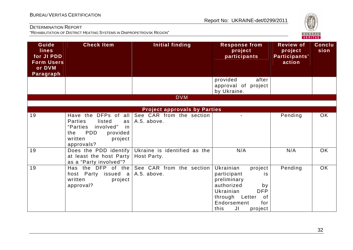

| Guide<br><b>lines</b><br>for JI PDD<br><b>Form Users</b><br>or DVM<br>Paragraph | <b>Check Item</b>                                                                                                                                          | <b>Initial finding</b>                      | <b>Response from</b><br>project<br>participants                                                                                                                                       | <b>Review of</b><br>project<br>Participants'<br>action | <b>Conclu</b><br>sion |
|---------------------------------------------------------------------------------|------------------------------------------------------------------------------------------------------------------------------------------------------------|---------------------------------------------|---------------------------------------------------------------------------------------------------------------------------------------------------------------------------------------|--------------------------------------------------------|-----------------------|
|                                                                                 |                                                                                                                                                            |                                             | provided<br>after<br>approval of project<br>by Ukraine.                                                                                                                               |                                                        |                       |
|                                                                                 |                                                                                                                                                            | <b>DVM</b>                                  |                                                                                                                                                                                       |                                                        |                       |
|                                                                                 |                                                                                                                                                            | <b>Project approvals by Parties</b>         |                                                                                                                                                                                       |                                                        |                       |
| 19                                                                              | Have the DFPs of all<br><b>Parties</b><br>listed<br>as<br>involved"<br>"Parties<br>in<br><b>PDD</b><br>provided<br>the<br>written<br>project<br>approvals? | See CAR from the section<br>A.5. above.     |                                                                                                                                                                                       | Pending                                                | OK                    |
| 19                                                                              | Does the PDD identify<br>at least the host Party<br>as a "Party involved"?                                                                                 | Ukraine is identified as the<br>Host Party. | N/A                                                                                                                                                                                   | N/A                                                    | OK                    |
| 19                                                                              | Has the DFP of the<br>host Party issued a<br>written<br>project<br>approval?                                                                               | See CAR from the section<br>A.5. above.     | Ukrainian<br>project<br>participant<br>is<br>preliminary<br>authorized<br>by<br>Ukrainian<br><b>DFP</b><br>through Letter<br><b>of</b><br>Endorsement<br>for<br>JI<br>this<br>project | Pending                                                | <b>OK</b>             |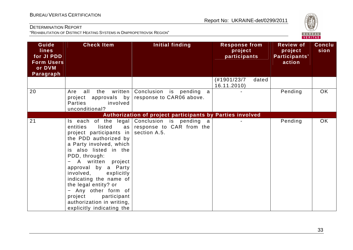

| Guide<br><b>lines</b><br>for JI PDD<br><b>Form Users</b><br>or DVM<br>Paragraph | <b>Check Item</b>                                                                                                                                                                                                                                                                                                                                                                         | Initial finding                                                                          | <b>Response from</b><br>project<br>participants | <b>Review of</b><br>project<br>Participants'<br>action | <b>Conclu</b><br>sion |
|---------------------------------------------------------------------------------|-------------------------------------------------------------------------------------------------------------------------------------------------------------------------------------------------------------------------------------------------------------------------------------------------------------------------------------------------------------------------------------------|------------------------------------------------------------------------------------------|-------------------------------------------------|--------------------------------------------------------|-----------------------|
|                                                                                 |                                                                                                                                                                                                                                                                                                                                                                                           |                                                                                          | (#1901/23/7<br>dated<br>16.11.2010)             |                                                        |                       |
| 20                                                                              | all<br>the<br>written  <br>Are<br>project approvals by<br><b>Parties</b><br>involved<br>unconditional?                                                                                                                                                                                                                                                                                    | Conclusion is pending a<br>response to CAR06 above.                                      |                                                 | Pending                                                | OK                    |
|                                                                                 |                                                                                                                                                                                                                                                                                                                                                                                           | Authorization of project participants by Parties involved                                |                                                 |                                                        |                       |
| 21                                                                              | listed<br>entities<br>as  <br>project participants in<br>the PDD authorized by<br>a Party involved, which<br>is also listed in the<br>PDD, through:<br>- A written project<br>approval by a Party<br>involved,<br>explicitly<br>indicating the name of<br>the legal entity? or<br>- Any other form of<br>project<br>participant<br>authorization in writing,<br>explicitly indicating the | Is each of the legal Conclusion is pending a<br>response to CAR from the<br>section A.5. |                                                 | Pending                                                | OK                    |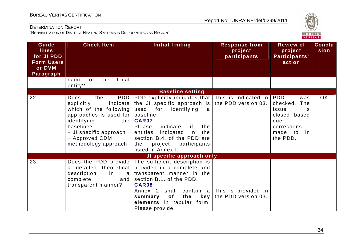

| Guide<br><b>lines</b><br>for JI PDD<br><b>Form Users</b><br>or DVM<br>Paragraph | <b>Check Item</b>                                                                                                                                                                                         | <b>Initial finding</b>                                                                                                                                                                                                                                                                                                                                         | <b>Response from</b><br>project<br>participants | <b>Review of</b><br>project<br>Participants'<br>action                                                      | <b>Conclu</b><br>sion |
|---------------------------------------------------------------------------------|-----------------------------------------------------------------------------------------------------------------------------------------------------------------------------------------------------------|----------------------------------------------------------------------------------------------------------------------------------------------------------------------------------------------------------------------------------------------------------------------------------------------------------------------------------------------------------------|-------------------------------------------------|-------------------------------------------------------------------------------------------------------------|-----------------------|
|                                                                                 | of<br>the<br>legal<br>name<br>entity?                                                                                                                                                                     |                                                                                                                                                                                                                                                                                                                                                                |                                                 |                                                                                                             |                       |
|                                                                                 |                                                                                                                                                                                                           | <b>Baseline setting</b>                                                                                                                                                                                                                                                                                                                                        |                                                 |                                                                                                             |                       |
| 22                                                                              | PDD<br>Does<br>the<br>explicitly<br>indicate<br>which of the following<br>approaches is used for<br>identifying<br>the I<br>baseline?<br>- JI specific approach<br>- Approved CDM<br>methodology approach | PDD explicitly indicates that $\vert$ This is indicated in $\vert$ PDD<br>the JI specific approach is $ $ the PDD version 03.<br>used<br>for<br>identifying<br>a<br>baseline.<br><b>CAR07</b><br>Please<br>indicate<br>the<br>if.<br>entities<br>indicated<br>the<br>in<br>section B.4. of the PDD are<br>the<br>project<br>participants<br>listed in Annex I. |                                                 | was<br>checked.<br>The<br>issue<br>is<br>closed based<br>due<br>corrections<br>made<br>to<br>in<br>the PDD. | <b>OK</b>             |
|                                                                                 |                                                                                                                                                                                                           | JI specific approach only                                                                                                                                                                                                                                                                                                                                      |                                                 |                                                                                                             |                       |
| 23                                                                              | Does the PDD provide<br>a detailed theoretical<br>description<br>in<br>a<br>complete<br>and<br>transparent manner?                                                                                        | The sufficient description is<br>provided in a complete and<br>transparent manner in the<br>section B.1. of the PDD.<br><b>CAR08</b><br>Annex 2 shall contain a This is provided in<br>of<br>the<br>key  <br>summary<br>elements in tabular form.<br>Please provide.                                                                                           | the PDD version 03.                             |                                                                                                             |                       |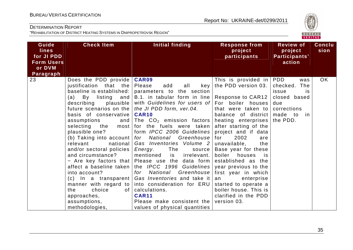

| Guide<br><b>lines</b><br>for JI PDD<br><b>Form Users</b><br>or DVM<br>Paragraph | <b>Check Item</b>                                                                                                                                                                                                                                                                                                                                                                                                                                                       | <b>Initial finding</b>                                                                                                                                                                                                                                                                                                                                                                                                                                                                                                                                                                                                                                                                                                                                                                                                        | <b>Response from</b><br>project<br>participants                                                                                                                                                                                                                                                                                                                                                                     | <b>Review of</b><br>project<br>Participants'<br>action                                    | <b>Conclu</b><br>sion |
|---------------------------------------------------------------------------------|-------------------------------------------------------------------------------------------------------------------------------------------------------------------------------------------------------------------------------------------------------------------------------------------------------------------------------------------------------------------------------------------------------------------------------------------------------------------------|-------------------------------------------------------------------------------------------------------------------------------------------------------------------------------------------------------------------------------------------------------------------------------------------------------------------------------------------------------------------------------------------------------------------------------------------------------------------------------------------------------------------------------------------------------------------------------------------------------------------------------------------------------------------------------------------------------------------------------------------------------------------------------------------------------------------------------|---------------------------------------------------------------------------------------------------------------------------------------------------------------------------------------------------------------------------------------------------------------------------------------------------------------------------------------------------------------------------------------------------------------------|-------------------------------------------------------------------------------------------|-----------------------|
| 23                                                                              | Does the PDD provide  <br>justification that the<br>baseline is established:<br>(a)<br>By listing and<br>plausible  <br>describing<br>future scenarios on the<br>basis of conservative<br>assumptions<br>plausible one?<br>national<br>relevant<br>and/or sectoral policies<br>and circumstance?<br>affect a baseline taken<br>into account?<br>$(c)$ In a transparent<br>manner with regard to<br>choice<br>the<br>0f<br>approaches,<br>assumptions,<br>methodologies, | <b>CAR09</b><br>Please<br>add<br>all<br>key<br>parameters to the section<br>B.1. in tabular form in line   Response to CAR12  <br>with Guidelines for users of For boiler houses<br>the JI PDD form, ver.04.<br><b>CAR10</b><br>and The $CO2$ emission factors heating enterprises the PDD.<br>selecting the most for the fuels were taken<br>form IPCC 2006 Guidelines<br>(b) Taking into account   for $National$ Greenhouse   for<br>Gas Inventories Volume 2<br>Energy.<br>The<br>source  <br>mentioned<br>irrelevant.<br>is<br>- Are key factors that Please use the data form<br>the <i>IPCC</i> 1996 Guidelines   year previous to the<br>National<br>for<br>Gas Inventories and take it<br>into consideration for ERU<br>calculations.<br><b>CAR11</b><br>Please make consistent the<br>values of physical quantities | This is provided in $ PDD $<br>the PDD version 03.<br>that were taken to<br>balance of district<br>after starting of the<br>project and if data<br>2002<br>are<br>unavailable,<br>the<br>Base year for these<br>boiler<br>houses<br><b>is</b><br>established as the<br>Greenhouse   first year in which<br>enterprise<br>an<br>started to operate a<br>boiler house. This is<br>clarified in the PDD<br>version 03. | was<br>checked.<br>The<br>issue<br>is<br>closed based<br>due<br>corrections<br>made to in | OK                    |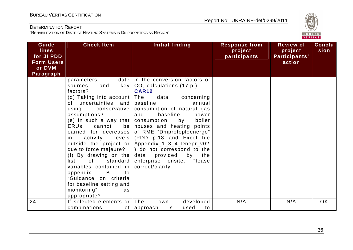

| Guide<br><b>lines</b><br>for JI PDD<br><b>Form Users</b><br>or DVM<br>Paragraph | <b>Check Item</b>                                                                                                                                                                                                                                                                                                                                                                                                                                                                                                                                                                                                                                                                                                        | Initial finding                                                                                                                                                                                                                                                                                                                                                                                                                                                                       | <b>Response from</b><br>project<br>participants | <b>Review of</b><br>project<br>Participants'<br>action | <b>Conclu</b><br>sion |
|---------------------------------------------------------------------------------|--------------------------------------------------------------------------------------------------------------------------------------------------------------------------------------------------------------------------------------------------------------------------------------------------------------------------------------------------------------------------------------------------------------------------------------------------------------------------------------------------------------------------------------------------------------------------------------------------------------------------------------------------------------------------------------------------------------------------|---------------------------------------------------------------------------------------------------------------------------------------------------------------------------------------------------------------------------------------------------------------------------------------------------------------------------------------------------------------------------------------------------------------------------------------------------------------------------------------|-------------------------------------------------|--------------------------------------------------------|-----------------------|
|                                                                                 | parameters,<br>key  <br>and<br>sources<br>factors?<br>(d) Taking into account   The<br>of uncertainties and<br>using<br>conservative<br>assumptions?<br>(e) In such a way that $ $<br>cannot<br><b>ERUs</b><br>earned for decreases<br>activity<br>levels  <br>in i<br>outside the project or<br>(f) By drawing on the<br>of the contract of the contract of the contract of the contract of the contract of the contract of the contract of the contract of the contract of the contract of the contract of the contract of the contract of the contrac<br>standard<br>list<br>variables contained in<br>B<br>to<br>appendix<br>"Guidance on criteria<br>for baseline setting and<br>monitoring",<br>as<br>appropriate? | date   in the conversion factors of<br>$CO2$ calculations (17 p.).<br><b>CAR12</b><br>data<br>concerning<br>baseline<br>annual<br>consumption of natural gas<br>baseline<br>and<br>power<br>consumption<br>by<br>boiler<br>be houses and heating points<br>of RME "Dniproteploenergo"<br>(PDD p.18 and Excel file<br>Appendix_1_3_4_Dnepr_v02<br>due to force majeure? $ $ do not correspond to the<br>provided<br>by<br>data<br>the<br>enterprise onsite. Please<br>correct/clarify. |                                                 |                                                        |                       |
| 24                                                                              | If selected elements or The<br>combinations                                                                                                                                                                                                                                                                                                                                                                                                                                                                                                                                                                                                                                                                              | developed<br>own<br>is<br>used<br>of   approach<br>to                                                                                                                                                                                                                                                                                                                                                                                                                                 | N/A                                             | N/A                                                    | <b>OK</b>             |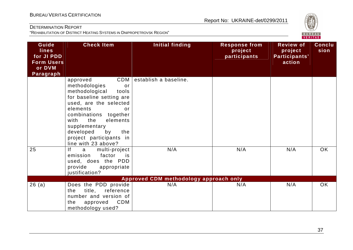

| Guide<br><b>lines</b><br>for JI PDD<br><b>Form Users</b><br>or DVM<br>Paragraph | <b>Check Item</b>                                                                                                                                                                                                                                                                          | <b>Initial finding</b>                        | <b>Response from</b><br>project<br>participants | <b>Review of</b><br>project<br>Participants'<br>action | <b>Conclu</b><br>sion |
|---------------------------------------------------------------------------------|--------------------------------------------------------------------------------------------------------------------------------------------------------------------------------------------------------------------------------------------------------------------------------------------|-----------------------------------------------|-------------------------------------------------|--------------------------------------------------------|-----------------------|
|                                                                                 | CDM<br>approved<br>methodologies<br>or<br>methodological<br>tools<br>for baseline setting are<br>used, are the selected<br>elements<br>or<br>combinations together<br>the<br>elements<br>with<br>supplementary<br>developed<br>by<br>the<br>project participants in<br>line with 23 above? | establish a baseline.                         |                                                 |                                                        |                       |
| 25                                                                              | f <br>multi-project<br>a<br>factor<br>emission<br>is<br>used, does the PDD<br>provide<br>appropriate<br>justification?                                                                                                                                                                     | N/A                                           | N/A                                             | N/A                                                    | OK                    |
| 26(a)                                                                           | Does the PDD provide<br>title,<br>reference<br>the<br>number and version of<br>CDM<br>the<br>approved<br>methodology used?                                                                                                                                                                 | Approved CDM methodology approach only<br>N/A | N/A                                             | N/A                                                    | <b>OK</b>             |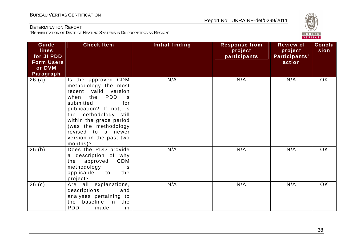

| Guide<br><b>lines</b><br>for JI PDD<br><b>Form Users</b><br>or DVM<br>Paragraph | <b>Check Item</b>                                                                                                                                                                                                                                                                       | <b>Initial finding</b> | <b>Response from</b><br>project<br>participants | <b>Review of</b><br>project<br>Participants'<br>action | <b>Conclu</b><br>sion |
|---------------------------------------------------------------------------------|-----------------------------------------------------------------------------------------------------------------------------------------------------------------------------------------------------------------------------------------------------------------------------------------|------------------------|-------------------------------------------------|--------------------------------------------------------|-----------------------|
| 26(a)                                                                           | Is the approved CDM<br>methodology the most<br>recent valid version<br>the<br>PDD<br>when<br>is<br>submitted<br>for<br>publication? If not, is<br>the methodology still<br>within the grace period<br>(was the methodology<br>revised to a newer<br>version in the past two<br>months)? | N/A                    | N/A                                             | N/A                                                    | OK                    |
| 26(b)                                                                           | Does the PDD provide<br>a description of why<br>CDM<br>approved<br>the<br>methodology<br>is<br>applicable<br>to<br>the<br>project?                                                                                                                                                      | N/A                    | N/A                                             | N/A                                                    | OK                    |
| 26(c)                                                                           | Are all explanations,<br>descriptions<br>and<br>analyses pertaining to<br>the baseline in the<br><b>PDD</b><br>made<br>in                                                                                                                                                               | N/A                    | N/A                                             | N/A                                                    | OK                    |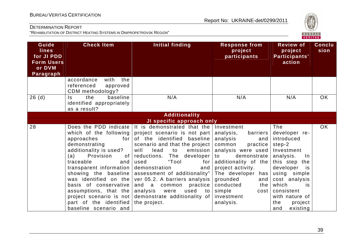

| Guide<br><b>lines</b><br>for JI PDD<br><b>Form Users</b><br>or DVM<br>Paragraph | <b>Check Item</b>                                                                                                                                                                                                                                                                                                                                                         | <b>Initial finding</b>                                                                                                                                                                                                                                                                                                                                                                                                                 | <b>Response from</b><br>project<br>participants                                                                                                                                                                                                                               | <b>Review of</b><br>project<br>Participants'<br>action                                                                                                                                                                                    | <b>Conclu</b><br>sion |
|---------------------------------------------------------------------------------|---------------------------------------------------------------------------------------------------------------------------------------------------------------------------------------------------------------------------------------------------------------------------------------------------------------------------------------------------------------------------|----------------------------------------------------------------------------------------------------------------------------------------------------------------------------------------------------------------------------------------------------------------------------------------------------------------------------------------------------------------------------------------------------------------------------------------|-------------------------------------------------------------------------------------------------------------------------------------------------------------------------------------------------------------------------------------------------------------------------------|-------------------------------------------------------------------------------------------------------------------------------------------------------------------------------------------------------------------------------------------|-----------------------|
|                                                                                 | accordance<br>the<br>with<br>referenced<br>approved<br>CDM methodology?                                                                                                                                                                                                                                                                                                   |                                                                                                                                                                                                                                                                                                                                                                                                                                        |                                                                                                                                                                                                                                                                               |                                                                                                                                                                                                                                           |                       |
| 26(d)                                                                           | baseline<br>ls.<br>the<br>identified appropriately<br>as a result?                                                                                                                                                                                                                                                                                                        | N/A                                                                                                                                                                                                                                                                                                                                                                                                                                    | N/A                                                                                                                                                                                                                                                                           | N/A                                                                                                                                                                                                                                       | <b>OK</b>             |
|                                                                                 |                                                                                                                                                                                                                                                                                                                                                                           | <b>Additionality</b>                                                                                                                                                                                                                                                                                                                                                                                                                   |                                                                                                                                                                                                                                                                               |                                                                                                                                                                                                                                           |                       |
|                                                                                 |                                                                                                                                                                                                                                                                                                                                                                           | JI specific approach only                                                                                                                                                                                                                                                                                                                                                                                                              |                                                                                                                                                                                                                                                                               |                                                                                                                                                                                                                                           |                       |
| 28                                                                              | Does the PDD indicate<br>which of the following<br>approaches<br>for<br>demonstrating<br>additionality is used?<br>Provision<br>(a)<br>of<br>traceable<br>and<br>transparent information<br>showing the baseline<br>was identified on the<br>basis of conservative<br>assumptions, that the<br>project scenario is not<br>part of the identified<br>baseline scenario and | It is demonstrated that the<br>project scenario is not part<br>of the identified baseline<br>scenario and that the project<br>will<br>emission<br>lead<br>to<br>reductions.<br>The<br>developer<br>"Tool<br>used<br>for<br>demonstration<br>and<br>assessment of additionality"<br>ver 05.2. A barriers analysis<br>practice  <br>and a<br>common<br>analysis<br>used<br>were<br>to to<br>demonstrate additionality of<br>the project. | Investment<br>analysis,<br>barriers<br>analysis<br>and<br>common<br>practice<br>analysis were used<br>demonstrate<br>to<br>additionality of the<br>project activity.<br>The developer has<br>grounded<br>and<br>conducted<br>the<br>simple<br>cost<br>investment<br>analysis. | The<br>developer re-<br>introduced<br>step-2<br>Investment<br>analysis.<br>$\ln$<br>this step the<br>developer<br>is<br>using simple<br>cost analysis<br>which<br>is<br>consistent<br>with nature of<br>the<br>project<br>existing<br>and | <b>OK</b>             |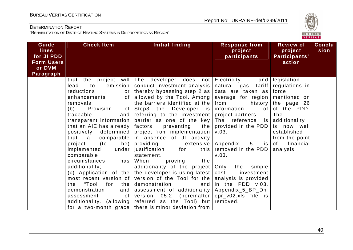

| Guide<br><b>lines</b><br>for JI PDD<br><b>Form Users</b><br>or DVM<br>Paragraph | <b>Check Item</b>                                                                                                                                                                                                                                                                                                                                                                                                                                                                                        | Initial finding                                                                                                                                                                                                                                                                                                                                                                                                                                                                                                                                                                                                                                                                                                                                                                                                       | <b>Response from</b><br>project<br>participants                                                                                                                                                                                                                                                                                        | <b>Review of</b><br>project<br>Participants'<br>action                                                                                                                             | <b>Conclu</b><br>sion |
|---------------------------------------------------------------------------------|----------------------------------------------------------------------------------------------------------------------------------------------------------------------------------------------------------------------------------------------------------------------------------------------------------------------------------------------------------------------------------------------------------------------------------------------------------------------------------------------------------|-----------------------------------------------------------------------------------------------------------------------------------------------------------------------------------------------------------------------------------------------------------------------------------------------------------------------------------------------------------------------------------------------------------------------------------------------------------------------------------------------------------------------------------------------------------------------------------------------------------------------------------------------------------------------------------------------------------------------------------------------------------------------------------------------------------------------|----------------------------------------------------------------------------------------------------------------------------------------------------------------------------------------------------------------------------------------------------------------------------------------------------------------------------------------|------------------------------------------------------------------------------------------------------------------------------------------------------------------------------------|-----------------------|
|                                                                                 | to<br>emission<br>lead<br>reductions<br>or<br>enhancements<br>of<br>removals;<br>Provision<br>of<br>(b)<br>traceable<br>and<br>transparent information<br>that an AIE has already<br>positively<br>determined<br>that a<br>comparable<br>project<br>(to<br>be)<br>under<br>implemented<br>comparable<br>circumstances<br>has<br>additionality;<br>(c) Application of the<br>most recent version of<br>"Tool<br>for<br>the<br>the<br>demonstration<br>and<br>assessment<br>of<br>additionality. (allowing | that the project will The developer does not Electricity<br>conduct investment analysis<br>thereby bypassing step 2 as $ $<br>allowed by the Tool. Among<br>the barriers identified at the $ $ from<br>Step3 the Developer is information<br>referring to the investment project partners.<br>barrier as one of the key<br>the<br>factors<br>preventing<br>project from implementation<br>in absence of JI activity<br>providing<br>extensive<br>justification<br>for<br>this  <br>statement.<br>When<br>the<br>proving<br>additionality of the project<br>the developer is using latest<br>version of the Tool for the<br>demonstration<br>and  <br>assessment of additionality   Appendix_5_BP_Dn<br>version<br>05.2<br>referred as the Tool) but removed.<br>for a two-month grace   there is minor deviation from | natural gas tariff<br>data are taken as force<br>average for region mentioned on<br>The reference is<br>provided in the PDD<br>V.03.<br>Appendix<br>$5\overline{)}$<br>is I<br>removed in the PDD<br>V.03.<br>Only the simple<br>investment<br>cost<br>analysis is provided<br>in the PDD v.03.<br>(hereinafter $ epr_v02.x s$ file is | and legislation<br>regulations in<br>history the page 26<br>of of the PDD.<br>The<br>additionality<br>is now well<br>established<br>from the point<br>financial<br>of<br>analysis. |                       |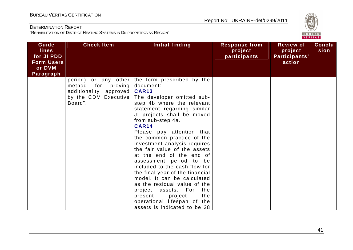

| Guide<br><b>lines</b><br>for JI PDD<br><b>Form Users</b><br>or DVM<br>Paragraph | <b>Check Item</b>                                                                     | Initial finding                                                                                                                                                                                                                                                                                                                                                                                                                                                                                                                                                                                                                                                                           | <b>Response from</b><br>project<br>participants | <b>Review of</b><br>project<br>Participants'<br>action | <b>Conclu</b><br>sion |
|---------------------------------------------------------------------------------|---------------------------------------------------------------------------------------|-------------------------------------------------------------------------------------------------------------------------------------------------------------------------------------------------------------------------------------------------------------------------------------------------------------------------------------------------------------------------------------------------------------------------------------------------------------------------------------------------------------------------------------------------------------------------------------------------------------------------------------------------------------------------------------------|-------------------------------------------------|--------------------------------------------------------|-----------------------|
|                                                                                 | for<br>proving<br>method<br>additionality approved<br>by the CDM Executive<br>Board". | period) or any other the form prescribed by the<br>document:<br><b>CAR13</b><br>The developer omitted sub-<br>step 4b where the relevant<br>statement regarding similar<br>JI projects shall be moved<br>from sub-step 4a.<br><b>CAR14</b><br>Please pay attention that<br>the common practice of the<br>investment analysis requires<br>the fair value of the assets<br>at the end of the end of<br>assessment period to be<br>included to the cash flow for<br>the final year of the financial<br>model. It can be calculated<br>as the residual value of the<br>project assets. For<br>the<br>project<br>the<br>present<br>operational lifespan of the<br>assets is indicated to be 28 |                                                 |                                                        |                       |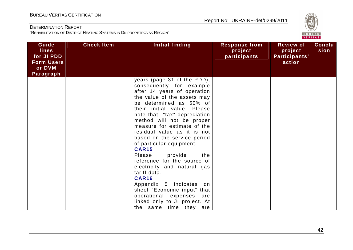

| Guide<br><b>lines</b><br>for JI PDD<br><b>Form Users</b><br>or DVM | <b>Check Item</b> | Initial finding                                                                                                                                                                                                                                                                                                                                                                                                                                                                                                                                                                                                                                                  | <b>Response from</b><br>project<br>participants | <b>Review of</b><br>project<br>Participants'<br>action | Conclu<br>sion |
|--------------------------------------------------------------------|-------------------|------------------------------------------------------------------------------------------------------------------------------------------------------------------------------------------------------------------------------------------------------------------------------------------------------------------------------------------------------------------------------------------------------------------------------------------------------------------------------------------------------------------------------------------------------------------------------------------------------------------------------------------------------------------|-------------------------------------------------|--------------------------------------------------------|----------------|
| Paragraph                                                          |                   | years (page 31 of the PDD),<br>consequently for example<br>after 14 years of operation<br>the value of the assets may<br>be determined as 50% of<br>their initial value. Please<br>note that "tax" depreciation<br>method will not be proper<br>measure for estimate of the<br>residual value as it is not<br>based on the service period<br>of particular equipment.<br><b>CAR15</b><br>provide<br>Please<br>the<br>reference for the source of<br>electricity and natural gas<br>tariff data.<br><b>CAR16</b><br>Appendix 5 indicates on<br>sheet "Economic input" that<br>operational expenses are<br>linked only to JI project. At<br>the same time they are |                                                 |                                                        |                |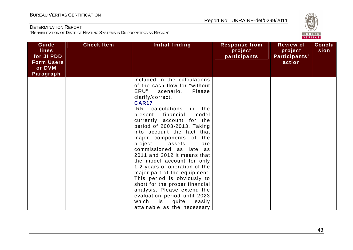

| Guide<br><b>lines</b><br>for JI PDD<br><b>Form Users</b><br>or DVM<br>Paragraph | <b>Check Item</b> | Initial finding                                                                                                                                                                                                                                                                                                                                                                                                                                                                                                                                                                                                                                                                                            | <b>Response from</b><br>project<br>participants | <b>Review of</b><br>project<br>Participants'<br>action | <b>Conclu</b><br>sion |
|---------------------------------------------------------------------------------|-------------------|------------------------------------------------------------------------------------------------------------------------------------------------------------------------------------------------------------------------------------------------------------------------------------------------------------------------------------------------------------------------------------------------------------------------------------------------------------------------------------------------------------------------------------------------------------------------------------------------------------------------------------------------------------------------------------------------------------|-------------------------------------------------|--------------------------------------------------------|-----------------------|
|                                                                                 |                   | included in the calculations<br>of the cash flow for "without<br>ERU"<br>Please<br>scenario.<br>clarify/correct.<br><b>CAR17</b><br>IRR calculations<br>in the<br>present financial<br>model<br>currently account for the<br>period of 2003-2013. Taking<br>into account the fact that<br>major components of<br>the<br>project<br>assets<br>are<br>commissioned as late as<br>2011 and 2012 it means that<br>the model account for only<br>1-2 years of operation of the<br>major part of the equipment.<br>This period is obviously to<br>short for the proper financial<br>analysis. Please extend the<br>evaluation period until 2023<br>which<br>is<br>quite<br>easily<br>attainable as the necessary |                                                 |                                                        |                       |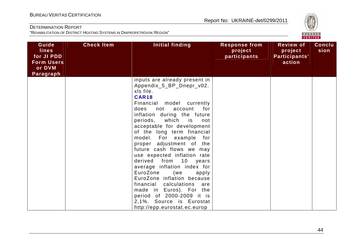

| Guide<br><b>lines</b><br>for JI PDD<br><b>Form Users</b><br>or DVM<br>Paragraph | <b>Check Item</b> | Initial finding                                                                                                                                                                                                                                                                                                                                                                                                                                                                                                                                                                                                                                                        | <b>Response from</b><br>project<br>participants | <b>Review of</b><br>project<br>Participants'<br>action | Conclu<br>sion |
|---------------------------------------------------------------------------------|-------------------|------------------------------------------------------------------------------------------------------------------------------------------------------------------------------------------------------------------------------------------------------------------------------------------------------------------------------------------------------------------------------------------------------------------------------------------------------------------------------------------------------------------------------------------------------------------------------------------------------------------------------------------------------------------------|-------------------------------------------------|--------------------------------------------------------|----------------|
|                                                                                 |                   | inputs are already present in<br>Appendix_5_BP_Dnepr_v02.<br>xls file.<br><b>CAR18</b><br>Financial model currently<br>for<br>account<br>does<br>not<br>inflation during the future<br>periods, which<br>is<br>not<br>acceptable for development<br>of the long term financial<br>model. For example for<br>proper adjustment of the<br>future cash flows we may<br>use expected inflation rate<br>derived from 10 years<br>average inflation index for<br>EuroZone<br>(we<br>apply<br>EuroZone inflation because<br>financial calculations<br>are<br>made in Euros). For the<br>period of 2000-2009 it is<br>2,1%. Source is Eurostat<br>http://epp.eurostat.ec.europ |                                                 |                                                        |                |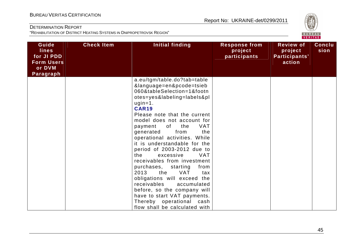

| Guide<br><b>lines</b><br>for JI PDD<br><b>Form Users</b><br>or DVM<br>Paragraph | <b>Check Item</b> | Initial finding                                                                                                                                                                                                                                                                                                                                                                                                                                                                                                                                                                                                                                                                                                 | <b>Response from</b><br>project<br>participants | <b>Review of</b><br>project<br>Participants'<br>action | <b>Conclu</b><br>sion |
|---------------------------------------------------------------------------------|-------------------|-----------------------------------------------------------------------------------------------------------------------------------------------------------------------------------------------------------------------------------------------------------------------------------------------------------------------------------------------------------------------------------------------------------------------------------------------------------------------------------------------------------------------------------------------------------------------------------------------------------------------------------------------------------------------------------------------------------------|-------------------------------------------------|--------------------------------------------------------|-----------------------|
|                                                                                 |                   | a.eu/tgm/table.do?tab=table<br>&language=en&pcode=tsieb<br>060&tableSelection=1&footn<br>otes=yes&labeling=labels&pl<br>$ugin=1.$<br><b>CAR19</b><br>Please note that the current<br>model does not account for<br>of<br><b>VAT</b><br>the<br>payment<br>from<br>the<br>generated<br>operational activities. While<br>it is understandable for the<br>period of 2003-2012 due to<br><b>VAT</b><br>the<br>excessive<br>receivables from investment<br>purchases,<br>from<br>starting<br>2013<br><b>VAT</b><br>the<br>tax<br>obligations will exceed the<br>receivables<br>accumulated<br>before, so the company will<br>have to start VAT payments.<br>Thereby operational cash<br>flow shall be calculated with |                                                 |                                                        |                       |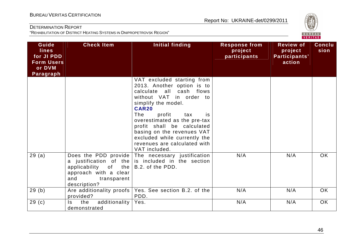

| Guide<br><b>lines</b><br>for JI PDD<br><b>Form Users</b><br>or DVM<br>Paragraph | <b>Check Item</b>                                                                                                                       | <b>Initial finding</b>                                                                                                                                                                                                                                                                                                                                             | <b>Response from</b><br>project<br>participants | <b>Review of</b><br>project<br>Participants'<br>action | <b>Conclu</b><br>sion |
|---------------------------------------------------------------------------------|-----------------------------------------------------------------------------------------------------------------------------------------|--------------------------------------------------------------------------------------------------------------------------------------------------------------------------------------------------------------------------------------------------------------------------------------------------------------------------------------------------------------------|-------------------------------------------------|--------------------------------------------------------|-----------------------|
|                                                                                 |                                                                                                                                         | VAT excluded starting from<br>2013. Another option is to<br>calculate all cash flows<br>without VAT in order to<br>simplify the model.<br><b>CAR20</b><br>profit<br>The<br>tax<br>is.<br>overestimated as the pre-tax<br>profit shall be calculated<br>basing on the revenues VAT<br>excluded while currently the<br>revenues are calculated with<br>VAT included. |                                                 |                                                        |                       |
| 29(a)                                                                           | Does the PDD provide  <br>a justification of the<br>applicability of the<br>approach with a clear<br>and<br>transparent<br>description? | The necessary justification<br>is included in the section<br>B.2. of the PDD.                                                                                                                                                                                                                                                                                      | N/A                                             | N/A                                                    | <b>OK</b>             |
| 29(b)                                                                           | Are additionality proofs<br>provided?                                                                                                   | Yes. See section B.2. of the<br>PDD.                                                                                                                                                                                                                                                                                                                               | N/A                                             | N/A                                                    | OK.                   |
| 29 <sub>(c)</sub>                                                               | additionality<br>the<br>Is.<br>demonstrated                                                                                             | Yes.                                                                                                                                                                                                                                                                                                                                                               | N/A                                             | N/A                                                    | OK                    |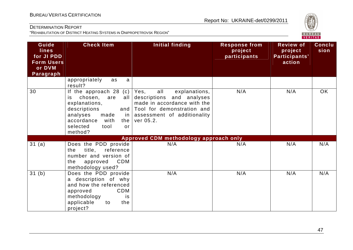

| Guide<br><b>lines</b><br>for JI PDD<br><b>Form Users</b><br>or DVM<br>Paragraph | <b>Check Item</b>                                                                                                                                                                             | <b>Initial finding</b>                                                                                                                                             | <b>Response from</b><br>project<br>participants | <b>Review of</b><br>project<br>Participants'<br>action | <b>Conclu</b><br>sion |
|---------------------------------------------------------------------------------|-----------------------------------------------------------------------------------------------------------------------------------------------------------------------------------------------|--------------------------------------------------------------------------------------------------------------------------------------------------------------------|-------------------------------------------------|--------------------------------------------------------|-----------------------|
|                                                                                 | appropriately<br>as<br>a<br>result?                                                                                                                                                           |                                                                                                                                                                    |                                                 |                                                        |                       |
| 30                                                                              | If the approach $28$ (c)<br>chosen,<br>all<br>are<br>is<br>explanations,<br>descriptions<br>and<br>analyses<br>made<br>in I<br>accordance<br>with<br>the<br>selected<br>tool<br>or<br>method? | Yes,<br>all<br>explanations,<br>descriptions and analyses<br>made in accordance with the<br>Tool for demonstration and<br>assessment of additionality<br>ver 05.2. | N/A                                             | N/A                                                    | <b>OK</b>             |
|                                                                                 |                                                                                                                                                                                               | Approved CDM methodology approach only                                                                                                                             |                                                 |                                                        |                       |
| 31(a)                                                                           | Does the PDD provide<br>title,<br>reference<br>the<br>number and version of<br><b>CDM</b><br>approved<br>the<br>methodology used?                                                             | N/A                                                                                                                                                                | N/A                                             | N/A                                                    | N/A                   |
| 31(b)                                                                           | Does the PDD provide<br>a description of why<br>and how the referenced<br><b>CDM</b><br>approved<br>methodology<br><i>is</i><br>applicable<br>to<br>the<br>project?                           | N/A                                                                                                                                                                | N/A                                             | N/A                                                    | N/A                   |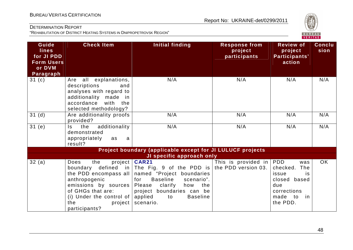

| Guide<br><b>lines</b><br>for JI PDD<br><b>Form Users</b><br>or DVM | <b>Check Item</b>                                                                                                                                                                                            | Initial finding                                                                                                                                                                                                                                    | <b>Response from</b><br>project<br>participants | <b>Review of</b><br>project<br>Participants'<br>action                                                      | <b>Conclu</b><br>sion |
|--------------------------------------------------------------------|--------------------------------------------------------------------------------------------------------------------------------------------------------------------------------------------------------------|----------------------------------------------------------------------------------------------------------------------------------------------------------------------------------------------------------------------------------------------------|-------------------------------------------------|-------------------------------------------------------------------------------------------------------------|-----------------------|
| Paragraph                                                          |                                                                                                                                                                                                              |                                                                                                                                                                                                                                                    |                                                 |                                                                                                             |                       |
| 31 $(c)$                                                           | Are all explanations,<br>descriptions<br>and<br>analyses with regard to<br>additionality made<br>in<br>accordance<br>with the<br>selected methodology?                                                       | N/A                                                                                                                                                                                                                                                | N/A                                             | N/A                                                                                                         | N/A                   |
| 31(d)                                                              | Are additionality proofs<br>provided?                                                                                                                                                                        | N/A                                                                                                                                                                                                                                                | N/A                                             | N/A                                                                                                         | N/A                   |
| 31(e)                                                              | additionality<br>the<br>Is.<br>demonstrated<br>appropriately<br>as<br>a<br>result?                                                                                                                           | N/A                                                                                                                                                                                                                                                | N/A                                             | N/A                                                                                                         | N/A                   |
|                                                                    |                                                                                                                                                                                                              | Project boundary (applicable except for JI LULUCF projects                                                                                                                                                                                         |                                                 |                                                                                                             |                       |
|                                                                    |                                                                                                                                                                                                              | JI specific approach only                                                                                                                                                                                                                          |                                                 |                                                                                                             |                       |
| 32(a)                                                              | project  <br>Does<br>the<br>defined in<br>boundary<br>the PDD encompass all<br>anthropogenic<br>emissions by sources<br>of GHGs that are:<br>(i) Under the control of $ $<br>the<br>project<br>participants? | <b>CAR21</b><br>The Fig. 9 of the PDD is the PDD version 03.<br>named "Project boundaries<br><b>Baseline</b><br>scenario".<br>for<br>Please<br>clarify<br>how<br>the<br>project boundaries can be<br>applied<br><b>Baseline</b><br>to<br>scenario. | This is provided in $ PDD $                     | was<br>checked.<br>The<br>issue<br>is<br>based<br>closed<br>due<br>corrections<br>made to<br>in<br>the PDD. | <b>OK</b>             |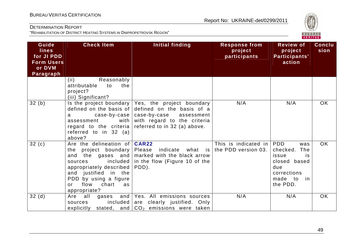

| Guide<br><b>lines</b><br>for JI PDD<br><b>Form Users</b><br>or DVM<br>Paragraph | <b>Check Item</b>                                                                                                                                                                                                     | Initial finding                                                                                                                                                                                            | <b>Response from</b><br>project<br>participants | <b>Review of</b><br>project<br>Participants'<br>action                                                | Conclu<br>sion |
|---------------------------------------------------------------------------------|-----------------------------------------------------------------------------------------------------------------------------------------------------------------------------------------------------------------------|------------------------------------------------------------------------------------------------------------------------------------------------------------------------------------------------------------|-------------------------------------------------|-------------------------------------------------------------------------------------------------------|----------------|
|                                                                                 | Reasonably<br>(ii)<br>attributable<br>the<br>to<br>project?<br>(iii) Significant?                                                                                                                                     |                                                                                                                                                                                                            |                                                 |                                                                                                       |                |
| 32(b)                                                                           | defined on the basis of<br>a<br>assessment<br>with<br>regard to the criteria<br>referred to in $32$ (a)<br>above?                                                                                                     | Is the project boundary $\sqrt{Y}$ Yes, the project boundary<br>defined on the basis of a<br>$case-by-case \mid case-by-case$<br>assessment<br>with regard to the criteria<br>referred to in 32 (a) above. | N/A                                             | N/A                                                                                                   | <b>OK</b>      |
| 32(c)                                                                           | Are the delineation of <b>CAR22</b><br>the project boundary Please<br>included<br>sources<br>appropriately described<br>justified in the<br>and<br>PDD by using a figure<br>flow<br>chart<br>as<br>or<br>appropriate? | indicate<br>what is<br>and the gases and   marked with the black arrow<br>in the flow (Figure 10 of the<br>PDD).                                                                                           | This is indicated in PDD<br>the PDD version 03. | was<br>checked.<br>The<br>issue<br>is<br>closed based<br>due<br>corrections<br>made to in<br>the PDD. | <b>OK</b>      |
| 32(d)                                                                           | all<br>Are<br>gases<br>included<br>sources<br>explicitly                                                                                                                                                              | and   Yes. All emissions sources<br>are clearly justified. Only<br>stated, and $CO2$ emissions were taken                                                                                                  | N/A                                             | N/A                                                                                                   | <b>OK</b>      |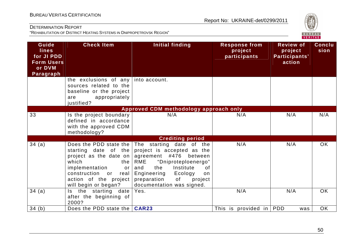

| Guide<br><b>lines</b><br>for JI PDD<br><b>Form Users</b><br>or DVM<br>Paragraph | <b>Check Item</b>                                                                                                                                                                               | <b>Initial finding</b>                                                                                                                                                                                                                          | <b>Response from</b><br>project<br>participants | <b>Review of</b><br>project<br>Participants'<br>action | <b>Conclu</b><br>sion |
|---------------------------------------------------------------------------------|-------------------------------------------------------------------------------------------------------------------------------------------------------------------------------------------------|-------------------------------------------------------------------------------------------------------------------------------------------------------------------------------------------------------------------------------------------------|-------------------------------------------------|--------------------------------------------------------|-----------------------|
|                                                                                 | the exclusions of any<br>sources related to the<br>baseline or the project<br>appropriately<br>are<br>justified?                                                                                | into account.                                                                                                                                                                                                                                   |                                                 |                                                        |                       |
|                                                                                 |                                                                                                                                                                                                 | Approved CDM methodology approach only                                                                                                                                                                                                          |                                                 |                                                        |                       |
| 33                                                                              | Is the project boundary<br>defined in accordance<br>with the approved CDM<br>methodology?                                                                                                       | N/A                                                                                                                                                                                                                                             | N/A                                             | N/A                                                    | N/A                   |
|                                                                                 |                                                                                                                                                                                                 | <b>Crediting period</b>                                                                                                                                                                                                                         |                                                 |                                                        |                       |
| 34(a)                                                                           | Does the PDD state the<br>starting date of the<br>project as the date on<br>which<br>the<br>implementation<br>or<br>construction<br>real<br>or<br>action of the project<br>will begin or began? | The starting date of the<br>project is accepted as the<br>agreement #476<br>between<br>RME<br>"Dniproteploenergo"<br>Institute<br>the<br>0f<br>and<br>Engineering<br>Ecology<br>on<br>preparation<br>of<br>project<br>documentation was signed. | N/A                                             | N/A                                                    | <b>OK</b>             |
| 34 (a)                                                                          | Is the starting date<br>after the beginning of<br>2000?                                                                                                                                         | Yes.                                                                                                                                                                                                                                            | N/A                                             | N/A                                                    | <b>OK</b>             |
| 34(b)                                                                           | Does the PDD state the                                                                                                                                                                          | <b>CAR23</b>                                                                                                                                                                                                                                    | This is provided in PDD                         | was                                                    | OK                    |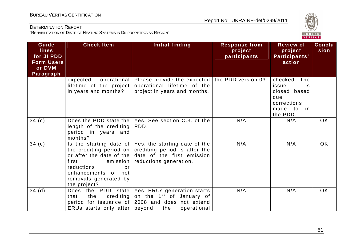

| Guide<br><b>lines</b><br>for JI PDD<br><b>Form Users</b><br>or DVM<br>Paragraph | <b>Check Item</b>                                                                                       | Initial finding                                                                                                                                                                                 | <b>Response from</b><br>project<br>participants | <b>Review of</b><br>project<br>Participants'<br>action                                                | <b>Conclu</b><br>sion |
|---------------------------------------------------------------------------------|---------------------------------------------------------------------------------------------------------|-------------------------------------------------------------------------------------------------------------------------------------------------------------------------------------------------|-------------------------------------------------|-------------------------------------------------------------------------------------------------------|-----------------------|
|                                                                                 | operational<br>expected<br>lifetime of the project<br>in years and months?                              | Please provide the expected the PDD version 03.<br>operational lifetime of the<br>project in years and months.                                                                                  |                                                 | checked. The<br>issue<br><b>is</b><br>closed based<br>due<br>corrections<br>made to<br>in<br>the PDD. |                       |
| 34 $(c)$                                                                        | length of the crediting<br>period in years and<br>months?                                               | Does the PDD state the Yes. See section C.3. of the<br>PDD.                                                                                                                                     | N/A                                             | N/A                                                                                                   | <b>OK</b>             |
| 34(c)                                                                           | first<br>emission  <br>reductions<br>or<br>enhancements of net<br>removals generated by<br>the project? | Is the starting date of Yes, the starting date of the<br>the crediting period on crediting period is after the<br>or after the date of the date of the first emission<br>reductions generation. | N/A                                             | N/A                                                                                                   | <b>OK</b>             |
| 34(d)                                                                           | crediting  <br>that<br>the<br>ERUs starts only after beyond                                             | Does the PDD state   Yes, ERUs generation starts<br>on the 1 <sup>st</sup> of January of<br>period for issuance of 2008 and does not extend<br>the<br>operational                               | N/A                                             | N/A                                                                                                   | OK                    |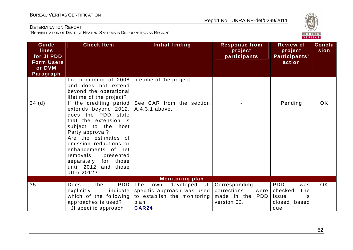

| Guide<br><b>lines</b><br>for JI PDD<br><b>Form Users</b><br>or DVM<br>Paragraph | <b>Check Item</b>                                                                                                                                                                                                                                                                                               | <b>Initial finding</b>                                                                                              | <b>Response from</b><br>project<br>participants                          | <b>Review of</b><br>project<br>Participants'<br>action                        | Conclu<br>sion |
|---------------------------------------------------------------------------------|-----------------------------------------------------------------------------------------------------------------------------------------------------------------------------------------------------------------------------------------------------------------------------------------------------------------|---------------------------------------------------------------------------------------------------------------------|--------------------------------------------------------------------------|-------------------------------------------------------------------------------|----------------|
|                                                                                 | the beginning of 2008<br>and does not extend<br>beyond the operational<br>lifetime of the project?                                                                                                                                                                                                              | lifetime of the project.                                                                                            |                                                                          |                                                                               |                |
| 34(d)                                                                           | If the crediting period<br>extends beyond 2012,<br>does the PDD state<br>that the extension is<br>subject to the host<br>Party approval?<br>Are the estimates of<br>emission reductions or<br>enhancements of net<br>removals<br>presented<br>separately<br>for<br>those<br>until 2012 and those<br>after 2012? | See CAR from the section<br>A.4.3.1 above.                                                                          |                                                                          | Pending                                                                       | OK             |
|                                                                                 |                                                                                                                                                                                                                                                                                                                 | <b>Monitoring plan</b>                                                                                              |                                                                          |                                                                               |                |
| 35                                                                              | <b>PDD</b><br>the<br><b>Does</b><br>indicate<br>explicitly<br>which of the following<br>approaches is used?<br>-JI specific approach                                                                                                                                                                            | The<br>developed<br>own<br>JI<br>specific approach was used<br>to establish the monitoring<br>plan.<br><b>CAR24</b> | Corresponding<br>corrections<br>were I<br>made in the PDD<br>version 03. | <b>PDD</b><br>was<br>The<br>checked.<br>issue<br>is<br>based<br>closed<br>due | <b>OK</b>      |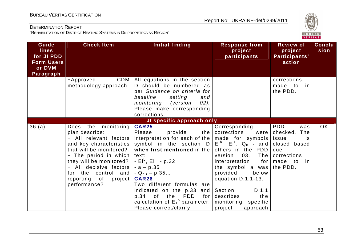

| Guide<br><b>lines</b><br>for JI PDD<br><b>Form Users</b><br>or DVM | <b>Check Item</b>                                                                                                                                                                                                                                                             | <b>Initial finding</b>                                                                                                                                                                                                                                                                                                                                                                                                                                                                | <b>Response from</b><br>project<br>participants                                                                                                                                                                                                                    | <b>Review of</b><br>project<br>Participants'<br>action                                                              | <b>Conclu</b><br>sion |
|--------------------------------------------------------------------|-------------------------------------------------------------------------------------------------------------------------------------------------------------------------------------------------------------------------------------------------------------------------------|---------------------------------------------------------------------------------------------------------------------------------------------------------------------------------------------------------------------------------------------------------------------------------------------------------------------------------------------------------------------------------------------------------------------------------------------------------------------------------------|--------------------------------------------------------------------------------------------------------------------------------------------------------------------------------------------------------------------------------------------------------------------|---------------------------------------------------------------------------------------------------------------------|-----------------------|
| Paragraph                                                          | CDM<br>-Approved                                                                                                                                                                                                                                                              | All equations in the section                                                                                                                                                                                                                                                                                                                                                                                                                                                          |                                                                                                                                                                                                                                                                    | corrections                                                                                                         |                       |
|                                                                    | methodology approach                                                                                                                                                                                                                                                          | D should be numbered as<br>per Guidance on criteria for<br>baseline<br>setting<br>and<br>monitoring<br>$02$ ).<br>version)<br>Please make corresponding<br>corrections.                                                                                                                                                                                                                                                                                                               |                                                                                                                                                                                                                                                                    | made to<br>in<br>the PDD.                                                                                           |                       |
|                                                                    |                                                                                                                                                                                                                                                                               | JI specific approach only                                                                                                                                                                                                                                                                                                                                                                                                                                                             |                                                                                                                                                                                                                                                                    |                                                                                                                     |                       |
| 36(a)                                                              | the monitoring<br>Does<br>plan describe:<br>- All relevant factors<br>and key characteristics<br>that will be monitored?<br>- The period in which<br>they will be monitored?<br>- All decisive factors<br>for the control and<br>reporting<br>of<br>project  <br>performance? | <b>CAR25</b><br>Please<br>provide<br>interpretation for each of the $ $ made for symbols $ $<br>symbol in the section $D/Ei^b$ , Ei <sup>r</sup> , Q <sub>hr</sub> and<br>when first mentioned in the<br>text:<br>- $Ei^b$ , $Ei^r$ - p.32<br>$-a - p.35$<br>- Q <sub>hr</sub> – p.35<br><b>CAR26</b><br>Two different formulas are<br>indicated on the $p.33$ and Section<br>$p.34$ of<br><b>PDD</b><br>the<br>for  <br>calculation of $E_1^b$ parameter.<br>Please correct/clarify. | Corresponding<br>the $ $ corrections<br>were<br>others in the PDD<br>03.<br>The<br>version<br>interpretation<br>for  <br>the symbol a was<br>provided<br>below<br>equation D.1.1-13.<br>D.1.1<br>describes<br>the<br>monitoring<br>specific<br>project<br>approach | <b>PDD</b><br>was<br>checked.<br>The<br>is<br>issue<br>closed based<br>due<br>corrections<br>made to in<br>the PDD. | OK                    |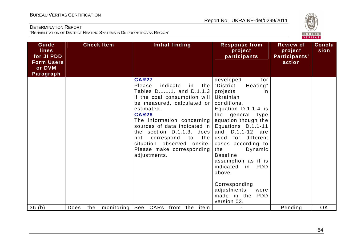

| Guide<br><b>lines</b><br>for JI PDD<br><b>Form Users</b><br>or DVM<br>Paragraph |             | <b>Check Item</b> | <b>Initial finding</b>                                                                                                                                                                                                                                                                                                                                                                  | <b>Response from</b><br>project<br>participants                                                                                                                                                                                                                                                                                                                                                                                            | <b>Review of</b><br>project<br>Participants'<br>action | <b>Conclu</b><br>sion |
|---------------------------------------------------------------------------------|-------------|-------------------|-----------------------------------------------------------------------------------------------------------------------------------------------------------------------------------------------------------------------------------------------------------------------------------------------------------------------------------------------------------------------------------------|--------------------------------------------------------------------------------------------------------------------------------------------------------------------------------------------------------------------------------------------------------------------------------------------------------------------------------------------------------------------------------------------------------------------------------------------|--------------------------------------------------------|-----------------------|
|                                                                                 |             |                   | <b>CAR27</b><br>Please<br>indicate<br>in<br>the<br>Tables D.1.1.1. and D.1.1.3<br>if the coal consumption will  <br>be measured, calculated or<br>estimated.<br><b>CAR28</b><br>The information concerning<br>sources of data indicated in<br>the section $D.1.1.3$ . does<br>the<br>correspond<br>to<br>not<br>situation observed onsite.<br>Please make corresponding<br>adjustments. | developed<br>for<br>Heating"<br>"District<br>projects<br><i>in</i><br>Ukrainian<br>conditions.<br>Equation D.1.1-4 is<br>the general type<br>equation though the<br>Equations D.1.1-11<br>D.1.1-12 are<br>and<br>used for different<br>cases according to<br>Dynamic<br>the<br><b>Baseline</b><br>assumption as it is<br>indicated<br><b>PDD</b><br>in<br>above.<br>Corresponding<br>adjustments<br>were<br>made in the PDD<br>version 03. |                                                        |                       |
| 36(h)                                                                           | Does<br>the | monitoring        | See<br>CARs from<br>the item                                                                                                                                                                                                                                                                                                                                                            |                                                                                                                                                                                                                                                                                                                                                                                                                                            | Pending                                                | <b>OK</b>             |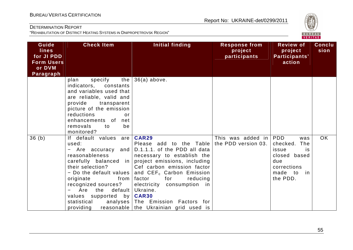

| Guide<br><b>lines</b><br>for JI PDD<br><b>Form Users</b><br>or DVM<br>Paragraph | <b>Check Item</b>                                                                                                                                                                                                                                                         | Initial finding                                                                                                                                                                                                                                                                                                                                                               | <b>Response from</b><br>project<br>participants | <b>Review of</b><br>project<br>Participants'<br>action                                                                        | <b>Conclu</b><br>sion |
|---------------------------------------------------------------------------------|---------------------------------------------------------------------------------------------------------------------------------------------------------------------------------------------------------------------------------------------------------------------------|-------------------------------------------------------------------------------------------------------------------------------------------------------------------------------------------------------------------------------------------------------------------------------------------------------------------------------------------------------------------------------|-------------------------------------------------|-------------------------------------------------------------------------------------------------------------------------------|-----------------------|
|                                                                                 | specify<br>the<br>plan<br>indicators,<br>constants<br>and variables used that<br>are reliable, valid and<br>provide transparent<br>picture of the emission<br>reductions<br>or<br>enhancements of<br>net<br>removals<br>be<br>to<br>monitored?                            | $36(a)$ above.                                                                                                                                                                                                                                                                                                                                                                |                                                 |                                                                                                                               |                       |
| 36(b)                                                                           | If default values are<br>used:<br>– Are accuracy<br>and<br>reasonableness<br>their selection?<br>- Do the default values<br>originate<br>from<br>recognized sources?<br>default<br>Are<br>the<br>values supported by <b>CAR30</b><br>statistical<br>analyses<br>providing | <b>CAR29</b><br>Please add to the Table<br>D.1.1.1. of the PDD all data<br>necessary to establish the<br>carefully balanced in project emissions, including<br>Cef carbon emission factor<br>and CEF <sub>c</sub> Carbon Emission<br>factor<br>for<br>reducing<br>electricity consumption in<br>Ukraine.<br>The Emission Factors for<br>reasonable the Ukrainian grid used is | This was added in<br>the PDD version 03.        | <b>PDD</b><br>was<br>checked.<br>The<br>issue<br><i>is</i><br>closed based<br>due<br>corrections<br>made to<br>in<br>the PDD. | <b>OK</b>             |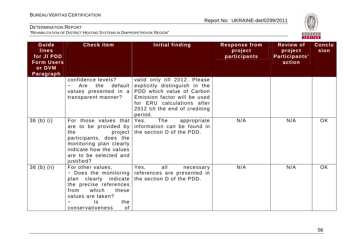

| Guide<br><b>lines</b><br>for JI PDD<br><b>Form Users</b><br>or DVM<br>Paragraph | <b>Check Item</b>                                                                                                                                                    | Initial finding                                                                                                                                                                                       | <b>Response from</b><br>project<br>participants | <b>Review of</b><br>project<br>Participants'<br>action | <b>Conclu</b><br>sion |
|---------------------------------------------------------------------------------|----------------------------------------------------------------------------------------------------------------------------------------------------------------------|-------------------------------------------------------------------------------------------------------------------------------------------------------------------------------------------------------|-------------------------------------------------|--------------------------------------------------------|-----------------------|
|                                                                                 | confidence levels?<br>default<br>Are<br>the<br>values presented in a<br>transparent manner?                                                                          | valid only till 2012. Please<br>explicitly distinguish in the<br>PDD which value of Carbon<br>Emission factor will be used<br>for ERU calculations after<br>2012 till the end of crediting<br>period. |                                                 |                                                        |                       |
| $36$ (b) (i)                                                                    | For those values that Yes.<br>the<br>project<br>participants, does the<br>monitoring plan clearly<br>indicate how the values<br>are to be selected and<br>justified? | The<br>appropriate<br>are to be provided by information can be found in<br>the section D of the PDD.                                                                                                  | N/A                                             | N/A                                                    | <b>OK</b>             |
| $36$ (b) (ii)                                                                   | For other values,<br>plan clearly indicate<br>the precise references<br>which<br>from<br>these<br>values are taken?<br>the<br>Is.<br>of<br>conservativeness          | Yes,<br>all<br>necessary<br>- Does the monitoring references are presented in<br>the section D of the PDD.                                                                                            | N/A                                             | N/A                                                    | <b>OK</b>             |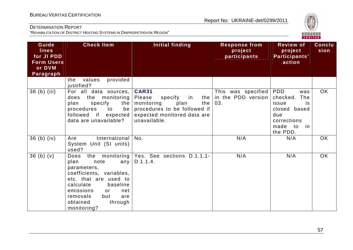

| Guide<br><b>lines</b><br>for JI PDD<br><b>Form Users</b><br>or DVM<br>Paragraph | <b>Check Item</b>                                                                                                                                                                                           | Initial finding                                                                                                                                       | <b>Response from</b><br>project<br>participants           | <b>Review of</b><br>project<br>Participants'<br>action                                                      | <b>Conclu</b><br>sion |
|---------------------------------------------------------------------------------|-------------------------------------------------------------------------------------------------------------------------------------------------------------------------------------------------------------|-------------------------------------------------------------------------------------------------------------------------------------------------------|-----------------------------------------------------------|-------------------------------------------------------------------------------------------------------------|-----------------------|
|                                                                                 | provided<br>values<br>the<br>justified?                                                                                                                                                                     |                                                                                                                                                       |                                                           |                                                                                                             |                       |
| 36 (b) (iii)                                                                    | For all data sources,<br>the monitoring<br>does<br>specify<br>plan<br>the<br>procedures<br>to<br>be<br>followed if expected<br>data are unavailable?                                                        | <b>CAR31</b><br>Please<br>specify<br>in<br>monitoring<br>plan<br>the  <br>procedures to be followed if<br>expected monitored data are<br>unavailable. | This was specified   PDD<br>the in the PDD version<br>03. | was<br>checked.<br>The<br>issue<br>is<br>closed based<br>due<br>corrections<br>made to<br>in in<br>the PDD. | <b>OK</b>             |
| $36$ (b) (iv)                                                                   | International<br>Are<br>System Unit (SI units)<br>used?                                                                                                                                                     | No.                                                                                                                                                   | N/A                                                       | N/A                                                                                                         | OK                    |
| 36(b)(v)                                                                        | Does<br>plan<br>note<br>parameters,<br>coefficients, variables,<br>etc. that are used to<br>calculate<br>baseline<br>emissions<br>net<br>or<br>removals<br>but<br>are<br>obtained<br>through<br>monitoring? | the monitoring   Yes. See sections D.1.1.1-<br>any $ D.1.1.4.$                                                                                        | N/A                                                       | N/A                                                                                                         | OK                    |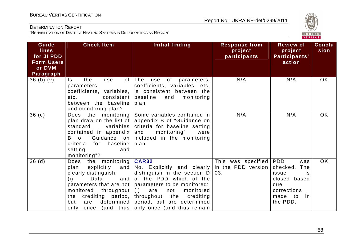

| Guide<br><b>lines</b><br>for JI PDD<br><b>Form Users</b><br>or DVM<br>Paragraph | <b>Check Item</b>                                                                                                                                                                         | Initial finding                                                                                                                                                                                                                                                                                                | <b>Response from</b><br>project<br>participants | <b>Review of</b><br>project<br>Participants'<br>action                                                          | <b>Conclu</b><br>sion |
|---------------------------------------------------------------------------------|-------------------------------------------------------------------------------------------------------------------------------------------------------------------------------------------|----------------------------------------------------------------------------------------------------------------------------------------------------------------------------------------------------------------------------------------------------------------------------------------------------------------|-------------------------------------------------|-----------------------------------------------------------------------------------------------------------------|-----------------------|
| $36$ (b) (v)                                                                    | the<br>Is.<br>use<br>parameters,<br>coefficients, variables,<br>consistent  <br>etc.<br>between the baseline<br>and monitoring plan?                                                      | of $ $ The<br>use<br>of parameters,<br>coefficients, variables, etc.<br>is consistent between the<br>baseline<br>and<br>monitoring<br>plan.                                                                                                                                                                    | N/A                                             | N/A                                                                                                             | <b>OK</b>             |
| 36(c)                                                                           | Does the monitoring<br>plan draw on the list of<br>standard<br>variables<br>contained in appendix<br>B of "Guidance on<br>baseline<br>criteria<br>for<br>setting<br>and<br>monitoring"?   | Some variables contained in<br>appendix B of "Guidance on<br>criteria for baseline setting<br>monitoring"<br>and<br>were<br>included in the monitoring<br>plan.                                                                                                                                                | N/A                                             | N/A                                                                                                             | OK                    |
| 36(d)                                                                           | the monitoring<br>Does<br>$explicity$ and<br>plan<br>clearly distinguish:<br>and $ $<br>(i)<br>Data<br>monitored throughout (i)<br>crediting period,<br>the<br>but<br>are<br>only<br>once | <b>CAR32</b><br>No. Explicitly and clearly<br>distinguish in the section D<br>of the PDD which of the<br>parameters that are not $ $ parameters to be monitored:<br>are<br>monitored<br>not<br>throughout<br>the<br>crediting<br>determined period, but are determined<br>(and thus only once (and thus remain | This was specified<br>in the PDD version<br>03. | PDD<br>was<br>checked.<br>The<br>issue<br>is<br>closed based<br>due<br>corrections<br>made to<br>in<br>the PDD. | <b>OK</b>             |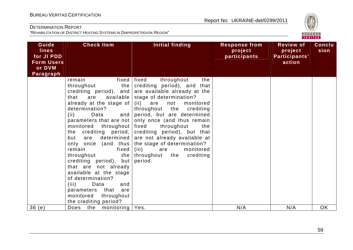

| Guide<br><b>lines</b><br>for JI PDD<br><b>Form Users</b><br>or DVM<br>Paragraph | <b>Check Item</b>                                                                                                                                                                                                                                                                                                                                                                                                                                                                                                      | <b>Initial finding</b>                                                                                                                                                                                                                                                                                                                                                                                                                                                         | <b>Response from</b><br>project<br>participants | <b>Review of</b><br>project<br>Participants'<br>action | <b>Conclu</b><br>sion |
|---------------------------------------------------------------------------------|------------------------------------------------------------------------------------------------------------------------------------------------------------------------------------------------------------------------------------------------------------------------------------------------------------------------------------------------------------------------------------------------------------------------------------------------------------------------------------------------------------------------|--------------------------------------------------------------------------------------------------------------------------------------------------------------------------------------------------------------------------------------------------------------------------------------------------------------------------------------------------------------------------------------------------------------------------------------------------------------------------------|-------------------------------------------------|--------------------------------------------------------|-----------------------|
|                                                                                 | remain<br>throughout<br>the  <br>are<br>available  <br>that<br>already at the stage of  <br>determination?<br>and<br>(ii)<br>Data<br>parameters that are not<br>monitored<br>throughout<br>the crediting period,<br>determined  <br>but<br>are<br>only once (and thus<br>remain<br>fixed<br>throughout<br>the  <br>crediting period), but<br>that are not already<br>available at the stage<br>of determination?<br>(iii)<br>Data<br>and<br>parameters that<br>are<br>monitored<br>throughout<br>the crediting period? | fixed   fixed<br>throughout<br>the<br>crediting period), and that<br>crediting period), and are available already at the<br>stage of determination?<br>(ii) are<br>not<br>monitored<br>throughout the crediting<br>period, but are determined<br>only once (and thus remain<br>fixed<br>throughout<br>the<br>crediting period), but that<br>are not already available at<br>the stage of determination?<br>(iii)<br>monitored<br>are<br>crediting<br>throughout the<br>period. |                                                 |                                                        |                       |
| 36(e)                                                                           | monitoring   Yes.<br>the<br>Does                                                                                                                                                                                                                                                                                                                                                                                                                                                                                       |                                                                                                                                                                                                                                                                                                                                                                                                                                                                                | N/A                                             | N/A                                                    | OK                    |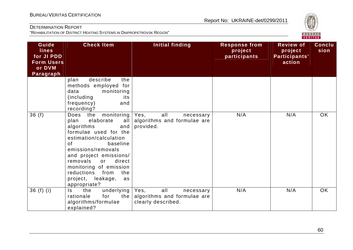

| Guide<br><b>lines</b><br>for JI PDD<br><b>Form Users</b><br>or DVM<br><b>Paragraph</b> | <b>Check Item</b>                                                                                                                                                                                                                                                                                                             | Initial finding                                                               | <b>Response from</b><br>project<br>participants | <b>Review of</b><br>project<br>Participants'<br>action | <b>Conclu</b><br>sion |
|----------------------------------------------------------------------------------------|-------------------------------------------------------------------------------------------------------------------------------------------------------------------------------------------------------------------------------------------------------------------------------------------------------------------------------|-------------------------------------------------------------------------------|-------------------------------------------------|--------------------------------------------------------|-----------------------|
|                                                                                        | describe<br>plan<br>the<br>methods employed for<br>data<br>monitoring<br>(including)<br>its<br>frequency)<br>and<br>recording?                                                                                                                                                                                                |                                                                               |                                                 |                                                        |                       |
| 36(f)                                                                                  | monitoring<br>the<br>Does<br>elaborate<br>plan<br>all<br>algorithms<br>and<br>formulae used for the<br>estimation/calculation<br>0f<br>baseline<br>emissions/removals<br>and project emissions/<br>removals<br>direct<br>or<br>monitoring of emission<br>reductions<br>from<br>the<br>project, leakage,<br>as<br>appropriate? | Yes,<br>all<br>necessary<br>algorithms and formulae are<br>provided.          | N/A                                             | N/A                                                    | OK                    |
| $36(f)$ (i)                                                                            | underlying<br>the<br>$\mathsf{ls}$<br>the<br>rationale<br>for<br>algorithms/formulae<br>explained?                                                                                                                                                                                                                            | all<br>Yes,<br>necessary<br>algorithms and formulae are<br>clearly described. | N/A                                             | N/A                                                    | <b>OK</b>             |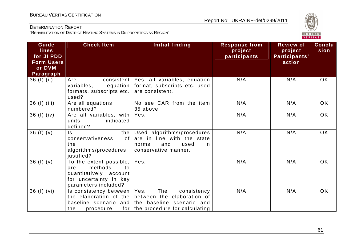

| Guide<br>lines<br>for JI PDD<br><b>Form Users</b><br>or DVM<br>Paragraph | <b>Check Item</b>                                                                                                               | <b>Initial finding</b>                                                                                                                                            | <b>Response from</b><br>project<br>participants | <b>Review of</b><br>project<br>Participants'<br>action | <b>Conclu</b><br>sion |
|--------------------------------------------------------------------------|---------------------------------------------------------------------------------------------------------------------------------|-------------------------------------------------------------------------------------------------------------------------------------------------------------------|-------------------------------------------------|--------------------------------------------------------|-----------------------|
| $36(f)$ (ii)                                                             | Are<br>equation<br>variables,<br>formats, subscripts etc.<br>used?                                                              | consistent   Yes, all variables, equation<br>format, subscripts etc. used<br>are consistent.                                                                      | N/A                                             | N/A                                                    | <b>OK</b>             |
| 36 (f) (iii)                                                             | Are all equations<br>numbered?                                                                                                  | No see CAR from the item<br>35 above.                                                                                                                             | N/A                                             | N/A                                                    | <b>OK</b>             |
| $36(f)$ (iv)                                                             | Are all variables, with<br>units<br>indicated<br>defined?                                                                       | Yes.                                                                                                                                                              | N/A                                             | N/A                                                    | <b>OK</b>             |
| 36 $(f)(v)$                                                              | the<br>Is.<br>of<br>conservativeness<br>the<br>algorithms/procedures<br>justified?                                              | Used algorithms/procedures<br>are in line with the state<br>and<br>used<br>norms<br>in<br>conservative manner.                                                    | N/A                                             | N/A                                                    | <b>OK</b>             |
| 36 $(f)(v)$                                                              | To the extent possible, $ $<br>methods<br>to<br>are<br>quantitatively account<br>for uncertainty in key<br>parameters included? | Yes.                                                                                                                                                              | N/A                                             | N/A                                                    | <b>OK</b>             |
| 36(f) (vi)                                                               | Is consistency between   Yes.<br>the<br>procedure                                                                               | The<br>consistency<br>the elaboration of the between the elaboration of<br>baseline scenario and the baseline scenario and<br>for   the procedure for calculating | N/A                                             | N/A                                                    | <b>OK</b>             |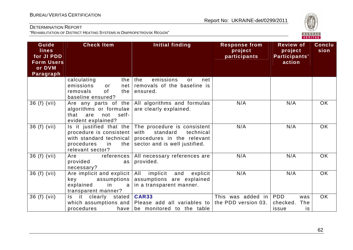

| Guide<br><b>lines</b><br>for JI PDD<br><b>Form Users</b><br>or DVM<br>Paragraph | <b>Check Item</b>                                                                                | <b>Initial finding</b>                                                                                                                                       | <b>Response from</b><br>project<br>participants | <b>Review of</b><br>project<br>Participants'<br>action | <b>Conclu</b><br>sion |
|---------------------------------------------------------------------------------|--------------------------------------------------------------------------------------------------|--------------------------------------------------------------------------------------------------------------------------------------------------------------|-------------------------------------------------|--------------------------------------------------------|-----------------------|
|                                                                                 | calculating<br>emissions<br>net<br>or<br>0f<br>removals<br>the I<br>baseline ensured?            | the $ $ the<br>emissions<br>net<br>or<br>removals of the baseline is<br>ensured.                                                                             |                                                 |                                                        |                       |
| 36 (f) (vii)                                                                    | algorithms or formulae<br>not<br>self-<br>that<br>are<br>evident explained?                      | Are any parts of the $\vert$ All algorithms and formulas<br>are clearly explained.                                                                           | N/A                                             | N/A                                                    | <b>OK</b>             |
| 36 (f) (vii)                                                                    | procedure is consistent<br>with standard technical<br>procedures<br>in<br>relevant sector?       | Is it justified that the $ $ The procedure is consistent<br>standard<br>with<br>technical<br>procedures in the relevant<br>the sector and is well justified. | N/A                                             | N/A                                                    | <b>OK</b>             |
| 36 (f) (vii)                                                                    | references  <br>Are<br>provided<br>as<br>necessary?                                              | All necessary references are<br>provided.                                                                                                                    | N/A                                             | N/A                                                    | <b>OK</b>             |
| 36 (f) (vii)                                                                    | Are implicit and explicit<br>assumptions  <br>key<br>explained<br>in<br>a<br>transparent manner? | All<br>implicit<br>and<br>explicit<br>assumptions are explained<br>in a transparent manner.                                                                  | N/A                                             | N/A                                                    | <b>OK</b>             |
| 36 (f) (vii)                                                                    | it.<br>clearly stated<br>Is.<br>procedures                                                       | <b>CAR33</b><br>which assumptions and Please add all variables to the PDD version 03.<br>have be monitored to the table                                      | This was added in                               | <b>PDD</b><br>was<br>checked.<br>The<br>is.<br>issue   | OK                    |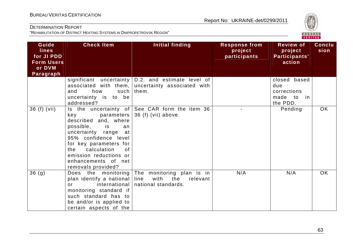

| Guide<br><b>lines</b><br>for JI PDD<br><b>Form Users</b><br>or DVM<br><b>Paragraph</b> | <b>Check Item</b>                                                                                                                                                                                                                                  | Initial finding                                                                              | <b>Response from</b><br>project<br>participants | <b>Review of</b><br>project<br>Participants'<br>action       | <b>Conclu</b><br>sion |
|----------------------------------------------------------------------------------------|----------------------------------------------------------------------------------------------------------------------------------------------------------------------------------------------------------------------------------------------------|----------------------------------------------------------------------------------------------|-------------------------------------------------|--------------------------------------------------------------|-----------------------|
|                                                                                        | associated with them,<br>how<br>such<br>and<br>uncertainty is to be<br>addressed?                                                                                                                                                                  | significant uncertainty $ D.2$ and estimate level of<br>uncertainty associated with<br>them. |                                                 | closed based<br>due<br>corrections<br>made to in<br>the PDD. |                       |
| 36 (f) (vii)                                                                           | parameters<br>key<br>described and, where<br>possible,<br>is<br>an<br>uncertainty range<br>at<br>95% confidence level<br>for key parameters for<br>calculation<br>0f<br>the<br>emission reductions or<br>enhancements of net<br>removals provided? | Is the uncertainty of See CAR form the item 36<br>36 (f) (vii) above.                        |                                                 | Pending                                                      | OK                    |
| 36 <sub>(g)</sub>                                                                      | Does the monitoring<br>plan identify a national<br>international<br>$\alpha$ r<br>monitoring standard if<br>such standard has to<br>be and/or is applied to<br>certain aspects of the                                                              | The monitoring plan is in<br>line<br>with<br>the<br>relevant<br>national standards.          | N/A                                             | N/A                                                          | <b>OK</b>             |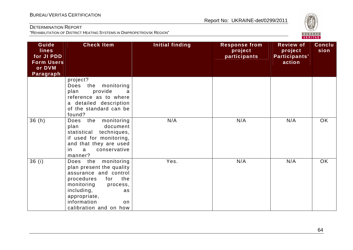

| Guide<br><b>lines</b><br>for JI PDD<br><b>Form Users</b><br>or DVM<br>Paragraph | <b>Check Item</b>                                                                                                                                                                                                           | <b>Initial finding</b> | <b>Response from</b><br>project<br>participants | <b>Review of</b><br>project<br>Participants'<br>action | <b>Conclu</b><br>sion |
|---------------------------------------------------------------------------------|-----------------------------------------------------------------------------------------------------------------------------------------------------------------------------------------------------------------------------|------------------------|-------------------------------------------------|--------------------------------------------------------|-----------------------|
|                                                                                 | project?<br>the monitoring<br>Does<br>provide<br>plan<br>a<br>reference as to where<br>a detailed description<br>of the standard can be<br>found?                                                                           |                        |                                                 |                                                        |                       |
| 36(h)                                                                           | the<br>monitoring<br>Does<br>plan<br>document<br>statistical techniques,<br>if used for monitoring,<br>and that they are used<br>conservative<br>a<br>in<br>manner?                                                         | N/A                    | N/A                                             | N/A                                                    | <b>OK</b>             |
| 36(i)                                                                           | monitoring<br>Does the<br>plan present the quality<br>assurance and control<br>the<br>procedures<br>for<br>monitoring<br>process,<br>including,<br>as<br>appropriate,<br>information<br><b>on</b><br>calibration and on how | Yes.                   | N/A                                             | N/A                                                    | <b>OK</b>             |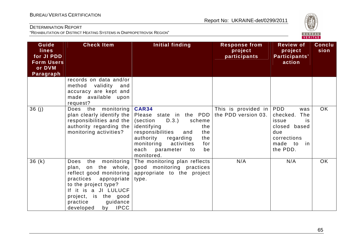

| Guide<br><b>lines</b><br>for JI PDD<br><b>Form Users</b><br>or DVM<br>Paragraph | <b>Check Item</b>                                                                                                                                                                                                                  | Initial finding                                                                                                                                                                                                                                                 | <b>Response from</b><br>project<br>participants | <b>Review of</b><br>project<br>Participants'<br>action                                              | <b>Conclu</b><br>sion |
|---------------------------------------------------------------------------------|------------------------------------------------------------------------------------------------------------------------------------------------------------------------------------------------------------------------------------|-----------------------------------------------------------------------------------------------------------------------------------------------------------------------------------------------------------------------------------------------------------------|-------------------------------------------------|-----------------------------------------------------------------------------------------------------|-----------------------|
|                                                                                 | records on data and/or<br>validity<br>method<br>and<br>accuracy are kept and<br>made available upon<br>request?                                                                                                                    |                                                                                                                                                                                                                                                                 |                                                 |                                                                                                     |                       |
| 36(j)                                                                           | Does the monitoring<br>plan clearly identify the<br>responsibilities and the<br>authority regarding the<br>monitoring activities?                                                                                                  | <b>CAR34</b><br>Please state in the PDD the PDD version 03.<br>(section<br>D.3.)<br>scheme<br>identifying<br>the<br>responsibilities<br>the<br>and<br>authority<br>the<br>regarding<br>monitoring<br>activities<br>for<br>each parameter to<br>be<br>monitored. | This is provided in $ PDD $                     | was<br>checked. The<br>issue<br>is.<br>closed based<br>due<br>corrections<br>made to in<br>the PDD. | OK                    |
| 36(k)                                                                           | monitoring<br>Does<br>the<br>the whole,<br>plan,<br>on<br>reflect good monitoring<br>practices appropriate<br>to the project type?<br>If it is a JI LULUCF<br>project, is the good<br>practice<br>guidance<br>by IPCC<br>developed | The monitoring plan reflects<br>good monitoring practices<br>appropriate to the project<br>type.                                                                                                                                                                | N/A                                             | N/A                                                                                                 | <b>OK</b>             |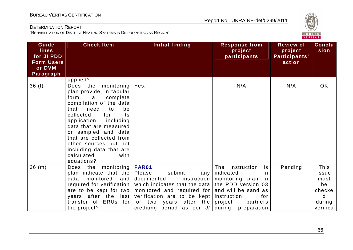

| Guide<br><b>lines</b><br>for JI PDD<br><b>Form Users</b><br>or DVM<br>Paragraph | <b>Check Item</b>                                                                                                                                                                                                                                                                                                                                               | Initial finding                                                                                                                                                                                                                                                          | <b>Response from</b><br>project<br>participants                                                                                   | <b>Review of</b><br>project<br>Participants'<br>action | Conclu<br>sion                                                   |
|---------------------------------------------------------------------------------|-----------------------------------------------------------------------------------------------------------------------------------------------------------------------------------------------------------------------------------------------------------------------------------------------------------------------------------------------------------------|--------------------------------------------------------------------------------------------------------------------------------------------------------------------------------------------------------------------------------------------------------------------------|-----------------------------------------------------------------------------------------------------------------------------------|--------------------------------------------------------|------------------------------------------------------------------|
|                                                                                 | applied?                                                                                                                                                                                                                                                                                                                                                        |                                                                                                                                                                                                                                                                          |                                                                                                                                   |                                                        |                                                                  |
| 36(1)                                                                           | Does the<br>monitoring<br>plan provide, in tabular<br>form.<br>complete<br>a<br>compilation of the data<br>need<br>that<br>be<br>to<br>collected<br>its<br>for<br>including<br>application,<br>data that are measured<br>or sampled and data<br>that are collected from<br>other sources but not<br>including data that are<br>calculated<br>with<br>equations? | Yes.                                                                                                                                                                                                                                                                     | N/A                                                                                                                               | N/A                                                    | OK                                                               |
| 36(m)                                                                           | Does the monitoring<br>plan indicate that the<br>monitored<br>data<br>and  <br>required for verification<br>are to be kept for two<br>years after the<br>last<br>transfer of ERUs for<br>the project?                                                                                                                                                           | FAR01<br>submit<br>Please<br>documented<br>which indicates that the data   the PDD version 03<br>monitored and required for and will be sand as<br>verification are to be kept instruction<br>after the project<br>for two<br>years<br>crediting period as per JI during | The instruction<br>is<br>any   indicated<br><i>in</i><br>instruction   monitoring $plan$<br>in.<br>for<br>partners<br>preparation | Pending                                                | This<br>issue<br>must<br>be<br>checke<br>d<br>during<br>verifica |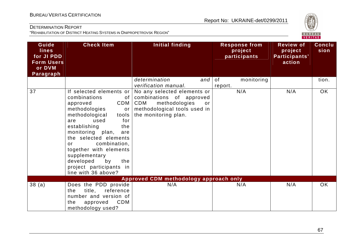

| Guide<br>lines<br>for JI PDD<br><b>Form Users</b><br>or DVM<br><b>Paragraph</b> | <b>Check Item</b>                                                                                                                                                                                                                                                                                                                                                | Initial finding                                                                                                                               | <b>Response from</b><br>project<br>participants | <b>Review of</b><br>project<br>Participants'<br>action | <b>Conclu</b><br>sion |
|---------------------------------------------------------------------------------|------------------------------------------------------------------------------------------------------------------------------------------------------------------------------------------------------------------------------------------------------------------------------------------------------------------------------------------------------------------|-----------------------------------------------------------------------------------------------------------------------------------------------|-------------------------------------------------|--------------------------------------------------------|-----------------------|
|                                                                                 |                                                                                                                                                                                                                                                                                                                                                                  | determination<br>and<br>verification manual.                                                                                                  | of<br>monitoring<br>report.                     |                                                        | tion.                 |
| 37                                                                              | If selected elements or<br>combinations<br>of<br>CDM<br>approved<br>methodologies<br>or<br>methodological<br>tools<br>used<br>for<br>are<br>establishing<br>the<br>monitoring plan,<br>are<br>the selected elements<br>combination,<br>or<br>together with elements<br>supplementary<br>developed<br>by<br>the<br>project participants in<br>line with 36 above? | No any selected elements or<br>combinations of approved<br>CDM<br>methodologies<br>or<br>methodological tools used in<br>the monitoring plan. | N/A                                             | N/A                                                    | OK                    |
|                                                                                 |                                                                                                                                                                                                                                                                                                                                                                  | Approved CDM methodology approach only                                                                                                        |                                                 |                                                        |                       |
| 38(a)                                                                           | Does the PDD provide<br>title,<br>reference<br>the<br>number and version of<br><b>CDM</b><br>the<br>approved<br>methodology used?                                                                                                                                                                                                                                | N/A                                                                                                                                           | N/A                                             | N/A                                                    | <b>OK</b>             |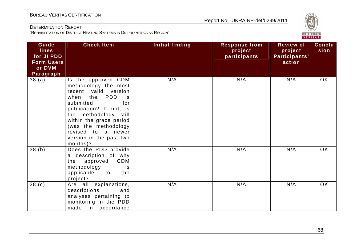

| Guide<br><b>lines</b><br>for JI PDD<br><b>Form Users</b><br>or DVM<br>Paragraph | <b>Check Item</b>                                                                                                                                                                                                                                                                                | <b>Initial finding</b> | <b>Response from</b><br>project<br>participants | <b>Review of</b><br>project<br>Participants'<br>action | <b>Conclu</b><br>sion |
|---------------------------------------------------------------------------------|--------------------------------------------------------------------------------------------------------------------------------------------------------------------------------------------------------------------------------------------------------------------------------------------------|------------------------|-------------------------------------------------|--------------------------------------------------------|-----------------------|
| 38 (a)                                                                          | Is the approved CDM<br>methodology the most<br>recent valid version<br><b>PDD</b><br>the<br>when<br>is i<br>submitted<br>for<br>publication? If not, is<br>the methodology still<br>within the grace period<br>(was the methodology<br>revised to a newer<br>version in the past two<br>months)? | N/A                    | N/A                                             | N/A                                                    | OK                    |
| 38(b)                                                                           | Does the PDD provide<br>a description of why<br><b>CDM</b><br>approved<br>the<br>methodology<br>is.<br>applicable<br>to<br>the<br>project?                                                                                                                                                       | N/A                    | N/A                                             | N/A                                                    | OK                    |
| 38 <sub>(c)</sub>                                                               | Are all explanations,<br>descriptions<br>and<br>analyses pertaining to<br>monitoring in the PDD<br>made in accordance                                                                                                                                                                            | N/A                    | N/A                                             | N/A                                                    | OK                    |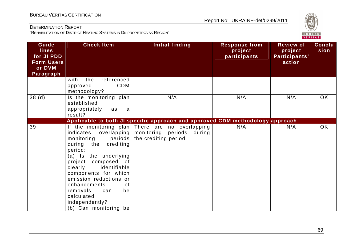

| Guide<br><b>lines</b><br>for JI PDD<br><b>Form Users</b><br>or DVM<br>Paragraph | <b>Check Item</b>                                                                                                                                                                                                                                                                                                            | Initial finding                                                                                          | <b>Response from</b><br>project<br>participants | <b>Review of</b><br>project<br>Participants'<br>action | <b>Conclu</b><br>sion |
|---------------------------------------------------------------------------------|------------------------------------------------------------------------------------------------------------------------------------------------------------------------------------------------------------------------------------------------------------------------------------------------------------------------------|----------------------------------------------------------------------------------------------------------|-------------------------------------------------|--------------------------------------------------------|-----------------------|
|                                                                                 | the<br>referenced<br>with<br>CDM<br>approved<br>methodology?                                                                                                                                                                                                                                                                 |                                                                                                          |                                                 |                                                        |                       |
| 38 <sub>(d)</sub>                                                               | Is the monitoring plan<br>established<br>appropriately<br>as<br>a<br>result?                                                                                                                                                                                                                                                 | N/A                                                                                                      | N/A                                             | N/A                                                    | OK                    |
|                                                                                 |                                                                                                                                                                                                                                                                                                                              | Applicable to both JI specific approach and approved CDM methodology approach                            |                                                 |                                                        |                       |
| 39                                                                              | overlapping<br>indicates<br>periods<br>monitoring<br>during the<br>crediting<br>period:<br>(a) Is the underlying<br>project composed of<br>clearly<br>identifiable<br>components for which<br>emission reductions or<br>enhancements<br>0f<br>removals<br>be<br>can<br>calculated<br>independently?<br>(b) Can monitoring be | If the monitoring plan There are no overlapping<br>monitoring periods<br>during<br>the crediting period. | N/A                                             | N/A                                                    | OK                    |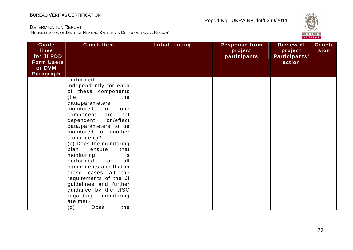

| Guide<br><b>lines</b><br>for JI PDD<br><b>Form Users</b><br>or DVM<br><b>Paragraph</b> | <b>Check Item</b>                                                                                                                                                                                                                                                                                                                                                                                                                                                                                                                            | Initial finding | <b>Response from</b><br>project<br>participants | <b>Review of</b><br>project<br>Participants'<br>action | <b>Conclu</b><br>sion |
|----------------------------------------------------------------------------------------|----------------------------------------------------------------------------------------------------------------------------------------------------------------------------------------------------------------------------------------------------------------------------------------------------------------------------------------------------------------------------------------------------------------------------------------------------------------------------------------------------------------------------------------------|-----------------|-------------------------------------------------|--------------------------------------------------------|-----------------------|
|                                                                                        | performed<br>independently for each<br>of these components<br>(i.e.<br>the<br>data/parameters<br>monitored<br>for<br>one<br>component<br>not<br>are<br>dependent<br>on/effect<br>data/parameters to be<br>monitored for another<br>component)?<br>(c) Does the monitoring<br>that<br>plan<br>ensure<br>monitoring<br>is<br>for<br>performed<br>all<br>components and that in<br>these cases all the<br>requirements of the JI<br>guidelines and further<br>guidance by the JISC<br>regarding<br>monitoring<br>are met?<br>(d)<br>the<br>Does |                 |                                                 |                                                        |                       |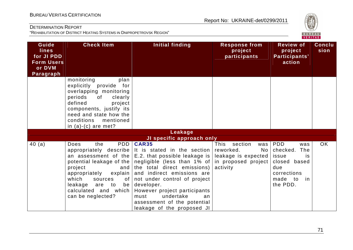

| Guide<br><b>lines</b><br>for JI PDD<br><b>Form Users</b><br>or DVM<br>Paragraph | <b>Check Item</b>                                                                                                                                                                                                                 | Initial finding                                                                                                                                                                                                                                                                                                                                                                                                                                      | <b>Response from</b><br>project<br>participants                                | <b>Review of</b><br>project<br>Participants'<br>action                                                                    | Conclu<br>sion |
|---------------------------------------------------------------------------------|-----------------------------------------------------------------------------------------------------------------------------------------------------------------------------------------------------------------------------------|------------------------------------------------------------------------------------------------------------------------------------------------------------------------------------------------------------------------------------------------------------------------------------------------------------------------------------------------------------------------------------------------------------------------------------------------------|--------------------------------------------------------------------------------|---------------------------------------------------------------------------------------------------------------------------|----------------|
|                                                                                 | monitoring<br>plan<br>explicitly provide for<br>overlapping monitoring<br>periods<br>of<br>clearly<br>defined<br>project<br>components, justify its<br>need and state how the<br>conditions<br>mentioned<br>in $(a)-(c)$ are met? |                                                                                                                                                                                                                                                                                                                                                                                                                                                      |                                                                                |                                                                                                                           |                |
|                                                                                 |                                                                                                                                                                                                                                   | Leakage                                                                                                                                                                                                                                                                                                                                                                                                                                              |                                                                                |                                                                                                                           |                |
|                                                                                 |                                                                                                                                                                                                                                   | JI specific approach only                                                                                                                                                                                                                                                                                                                                                                                                                            |                                                                                |                                                                                                                           |                |
| 40(a)                                                                           | PDD<br><b>Does</b><br>the<br>project<br>and<br>appropriately<br>explain  <br>which<br>sources<br>of <sub>1</sub><br>leakage are to<br>calculated and which<br>can be neglected?                                                   | <b>CAR35</b><br>appropriately describe   It is stated in the section  <br>an assessment of the $ E.2$ that possible leakage is $ $<br>potential leakage of the negligible (less than 1% of in proposed project<br>the total direct emissions)<br>and indirect emissions are<br>not under control of project<br>be developer.<br>However project participants<br>undertake<br>must<br>an<br>assessment of the potential<br>leakage of the proposed JI | This<br>section<br>was<br>reworked.<br>No l<br>leakage is expected<br>activity | <b>PDD</b><br>was<br>checked.<br>The<br>issue<br>is<br>closed based<br>due<br>corrections<br>made to<br>in in<br>the PDD. | OK             |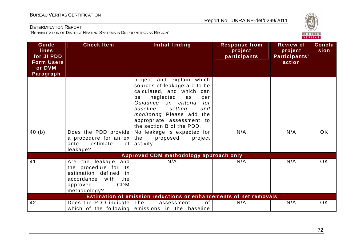

| Guide<br><b>lines</b><br>for JI PDD<br><b>Form Users</b><br>or DVM<br>Paragraph | <b>Check Item</b>                                                                                                                                  | <b>Initial finding</b>                                                                                                                                                                                                                                                                                                                              | <b>Response from</b><br>project<br>participants | <b>Review of</b><br>project<br>Participants'<br>action | Conclu<br>sion |
|---------------------------------------------------------------------------------|----------------------------------------------------------------------------------------------------------------------------------------------------|-----------------------------------------------------------------------------------------------------------------------------------------------------------------------------------------------------------------------------------------------------------------------------------------------------------------------------------------------------|-------------------------------------------------|--------------------------------------------------------|----------------|
| 40 (b)                                                                          | Does the PDD provide  <br>a procedure for an $ex$<br>ante<br>estimate<br>of                                                                        | project and explain which<br>sources of leakage are to be<br>calculated, and which can<br>neglected<br>be<br>as<br>per<br>Guidance on criteria<br>for<br>baseline<br>setting<br>and<br>monitoring Please add the<br>appropriate assessment to<br>the section B of the PDD.<br>No leakage is expected for<br>the<br>proposed<br>project<br>activity. | N/A                                             | N/A                                                    | <b>OK</b>      |
|                                                                                 | leakage?                                                                                                                                           |                                                                                                                                                                                                                                                                                                                                                     |                                                 |                                                        |                |
|                                                                                 |                                                                                                                                                    | Approved CDM methodology approach only                                                                                                                                                                                                                                                                                                              |                                                 |                                                        |                |
| 41                                                                              | Are the leakage<br>and<br>the procedure for its<br>estimation defined<br>in<br>accordance<br>with<br>the<br><b>CDM</b><br>approved<br>methodology? | N/A                                                                                                                                                                                                                                                                                                                                                 | N/A                                             | N/A                                                    | <b>OK</b>      |
|                                                                                 |                                                                                                                                                    | Estimation of emission reductions or enhancements of net removals                                                                                                                                                                                                                                                                                   |                                                 |                                                        |                |
| 42                                                                              | Does the PDD indicate The                                                                                                                          | of<br>assessment<br>which of the following emissions in the baseline                                                                                                                                                                                                                                                                                | N/A                                             | N/A                                                    | OK             |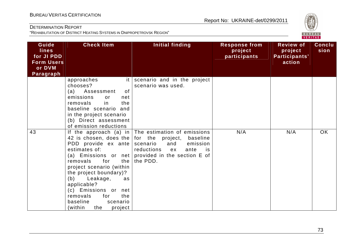

| Guide<br><b>lines</b><br>for JI PDD<br><b>Form Users</b><br>or DVM<br>Paragraph | <b>Check Item</b>                                                                                                                                                                                                                                                                                 | Initial finding                                                                                                                                                                                                            | <b>Response from</b><br>project<br>participants | <b>Review of</b><br>project<br>Participants'<br>action | <b>Conclu</b><br>sion |
|---------------------------------------------------------------------------------|---------------------------------------------------------------------------------------------------------------------------------------------------------------------------------------------------------------------------------------------------------------------------------------------------|----------------------------------------------------------------------------------------------------------------------------------------------------------------------------------------------------------------------------|-------------------------------------------------|--------------------------------------------------------|-----------------------|
|                                                                                 | approaches<br>it I<br>chooses?<br>(a) Assessment<br>0f<br>emissions<br>or<br>net<br>in<br>removals<br>the<br>baseline scenario and<br>in the project scenario<br>(b) Direct assessment<br>of emission reductions                                                                                  | scenario and in the project<br>scenario was used.                                                                                                                                                                          |                                                 |                                                        |                       |
| 43                                                                              | 42 is chosen, does the<br>PDD provide ex ante<br>estimates of:<br>for<br>the<br>removals<br>project scenario (within<br>the project boundary)?<br>(b)<br>Leakage,<br>as.<br>applicable?<br>(c) Emissions or<br>net<br>removals<br>the<br>for<br>baseline<br>scenario<br>(within<br>project<br>the | If the approach (a) in $ $ The estimation of emissions<br>for the project,<br>baseline<br>scenario<br>emission<br>and<br>reductions<br>ante<br>ex<br>is<br>(a) Emissions or net provided in the section $E$ of<br>the PDD. | N/A                                             | N/A                                                    | <b>OK</b>             |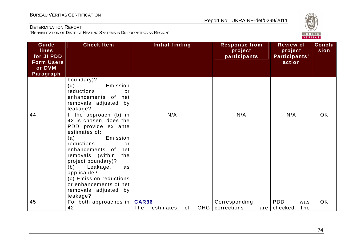

| Guide<br>lines<br>for JI PDD<br><b>Form Users</b><br>or DVM<br>Paragraph | <b>Check Item</b>                                                                                                                                                                                                                                                                                                                           | <b>Initial finding</b>           |                  | <b>Response from</b><br>project<br>participants | <b>Review of</b><br>project<br>Participants'<br>action | <b>Conclu</b><br>sion |
|--------------------------------------------------------------------------|---------------------------------------------------------------------------------------------------------------------------------------------------------------------------------------------------------------------------------------------------------------------------------------------------------------------------------------------|----------------------------------|------------------|-------------------------------------------------|--------------------------------------------------------|-----------------------|
|                                                                          | boundary)?<br>Emission<br>(d)<br>reductions<br>or<br>enhancements of<br>net<br>removals adjusted<br>by<br>leakage?                                                                                                                                                                                                                          |                                  |                  |                                                 |                                                        |                       |
| 44                                                                       | If the approach (b) in<br>42 is chosen, does the<br>PDD provide ex ante<br>estimates of:<br>Emission<br>(a)<br>reductions<br>or<br>enhancements of<br>net<br>removals (within<br>the<br>project boundary)?<br>(b)<br>Leakage,<br>as<br>applicable?<br>(c) Emission reductions<br>or enhancements of net<br>removals adjusted by<br>leakage? | N/A                              |                  | N/A                                             | N/A                                                    | <b>OK</b>             |
| 45                                                                       | For both approaches in<br>42                                                                                                                                                                                                                                                                                                                | <b>CAR36</b><br>The<br>estimates | <b>GHG</b><br>of | Corresponding<br>corrections                    | <b>PDD</b><br>was<br>The<br>checked.<br>are            | <b>OK</b>             |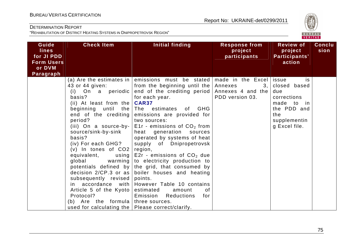

| Guide<br><b>lines</b><br>for JI PDD<br><b>Form Users</b><br>or DVM<br>Paragraph | <b>Check Item</b>                                                                                                                                                                                                                                                                                                                                                                                                            | Initial finding                                                                                                                                                                                                                                                                                                                                                                                                                                                                                                                                                                                                                                                                                                          | <b>Response from</b><br>project<br>participants | <b>Review of</b><br>project<br>Participants'<br>action                                                        | Conclu<br>sion |
|---------------------------------------------------------------------------------|------------------------------------------------------------------------------------------------------------------------------------------------------------------------------------------------------------------------------------------------------------------------------------------------------------------------------------------------------------------------------------------------------------------------------|--------------------------------------------------------------------------------------------------------------------------------------------------------------------------------------------------------------------------------------------------------------------------------------------------------------------------------------------------------------------------------------------------------------------------------------------------------------------------------------------------------------------------------------------------------------------------------------------------------------------------------------------------------------------------------------------------------------------------|-------------------------------------------------|---------------------------------------------------------------------------------------------------------------|----------------|
|                                                                                 | 43 or 44 given:<br>basis?<br>(ii) At least from the $CARS7$<br>beginning until<br>the<br>end of the crediting  <br>period?<br>(iii) On a source-by-<br>source/sink-by-sink<br>basis?<br>(iv) For each GHG?<br>$(v)$ In tones of $CO2$<br>equivalent,<br>global<br>subsequently revised<br>Article 5 of the Kyoto<br>Protocol?<br>Are the formula three sources.<br>(b)<br>used for calculating the   Please correct/clarify. | (a) Are the estimates in emissions must be stated made in the Excel issue<br>from the beginning until the<br>(i) On a periodic end of the crediting period Annexes 4 and the<br>for each year.<br>The estimates of GHG<br>emissions are provided for<br>two sources:<br>E1r - emissions of $CO2$ from<br>heat generation sources<br>operated by systems of heat<br>supply of Dnipropetrovsk<br>region,<br>using $ E2r -$ emissions of $CO2$ due<br>warming to electricity production to<br>potentials defined by the grid, that consumed by<br>decision $2/CP.3$ or as boiler houses and heating<br>points.<br>in $accordance$ with However Table 10 contains<br>estimated<br>0f<br>amount<br>Emission Reductions<br>for | Annexes<br>3,  <br>PDD version 03.              | is<br>closed based<br>due<br>corrections<br>made to in<br>the PDD and<br>the<br>supplementin<br>g Excel file. |                |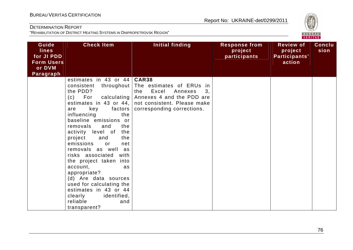

| Guide<br><b>lines</b><br>for JI PDD<br><b>Form Users</b><br>or DVM | <b>Check Item</b>                                                                                                                                                                                                                                                                                                                                                                                                                                                                                                                                                                 | <b>Initial finding</b>                                                                                                                              | <b>Response from</b><br>project<br>participants | <b>Review of</b><br>project<br>Participants'<br>action | <b>Conclu</b><br>sion |
|--------------------------------------------------------------------|-----------------------------------------------------------------------------------------------------------------------------------------------------------------------------------------------------------------------------------------------------------------------------------------------------------------------------------------------------------------------------------------------------------------------------------------------------------------------------------------------------------------------------------------------------------------------------------|-----------------------------------------------------------------------------------------------------------------------------------------------------|-------------------------------------------------|--------------------------------------------------------|-----------------------|
| Paragraph                                                          | estimates in 43 or $44   \text{CAR}38$<br>throughout<br>consistent<br>the PDD?<br>$(c)$ For<br>calculating  <br>estimates in 43 or 44, $ $<br>key<br>factors<br>are<br>influencing<br>the<br>baseline emissions or<br>removals<br>and<br>the<br>activity level of<br>the<br>project<br>the<br>and<br>emissions<br>or<br>net<br>removals as well as<br>risks associated with<br>the project taken into<br>account,<br>as<br>appropriate?<br>(d) Are data sources<br>used for calculating the<br>estimates in 43 or 44<br>clearly<br>identified,<br>reliable<br>and<br>transparent? | The estimates of ERUs in<br>Excel<br>Annexes<br>the<br>3,<br>Annexes 4 and the PDD are<br>not consistent. Please make<br>corresponding corrections. |                                                 |                                                        |                       |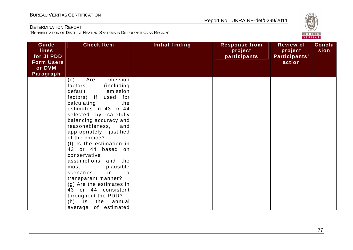

| Guide<br><b>lines</b><br>for JI PDD<br><b>Form Users</b><br>or DVM<br>Paragraph | <b>Check Item</b>                                                                                                                                                                                                                                                                                                                                                                                                                                                                                                                                                          | Initial finding | <b>Response from</b><br>project<br>participants | <b>Review of</b><br>project<br>Participants'<br>action | <b>Conclu</b><br>sion |
|---------------------------------------------------------------------------------|----------------------------------------------------------------------------------------------------------------------------------------------------------------------------------------------------------------------------------------------------------------------------------------------------------------------------------------------------------------------------------------------------------------------------------------------------------------------------------------------------------------------------------------------------------------------------|-----------------|-------------------------------------------------|--------------------------------------------------------|-----------------------|
|                                                                                 | emission<br>Are<br>(e)<br>factors<br>(including)<br>default<br>emission<br>factors) if<br>used for<br>calculating<br>the<br>estimates in 43 or 44<br>selected by carefully<br>balancing accuracy and<br>reasonableness,<br>and<br>appropriately justified<br>of the choice?<br>(f) Is the estimation in<br>43 or 44 based on<br>conservative<br>assumptions and the<br>plausible<br>most<br>scenarios<br>in.<br>a<br>transparent manner?<br>(g) Are the estimates in<br>43 or 44 consistent<br>throughout the PDD?<br>$(h)$ Is<br>the<br>annual<br>of estimated<br>average |                 |                                                 |                                                        |                       |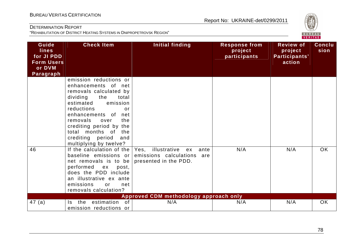## Report No: UKRAINE-det/0299/2011

### DETERMINATION REPORT

"REHABILITATION OF DISTRICT HEATING SYSTEMS IN DNIPROPETROVSK REGION"

| <b>Guide</b><br><b>lines</b><br>for JI PDD<br><b>Form Users</b><br>or DVM<br>Paragraph | <b>Check Item</b>                                                                                                                                                                                                                                                                                                    | <b>Initial finding</b>                                                                    | <b>Response from</b><br>project<br>participants | <b>Review of</b><br>project<br>Participants'<br>action | <b>Conclu</b><br>sion |
|----------------------------------------------------------------------------------------|----------------------------------------------------------------------------------------------------------------------------------------------------------------------------------------------------------------------------------------------------------------------------------------------------------------------|-------------------------------------------------------------------------------------------|-------------------------------------------------|--------------------------------------------------------|-----------------------|
|                                                                                        | emission reductions or<br>enhancements of net<br>removals calculated by<br>dividing<br>the<br>total<br>emission<br>estimated<br>reductions<br>$\alpha$ r<br>enhancements of net<br>the<br>removals<br>over<br>crediting period by the<br>total months of<br>the<br>crediting period<br>and<br>multiplying by twelve? |                                                                                           |                                                 |                                                        |                       |
| 46                                                                                     | If the calculation of the<br>baseline emissions or<br>net removals is to be<br>performed ex<br>post,<br>does the PDD include<br>an illustrative ex ante<br>emissions<br>or<br>net<br>removals calculation?                                                                                                           | Yes, illustrative<br>ante<br>ex<br>emissions calculations<br>are<br>presented in the PDD. | N/A                                             | N/A                                                    | <b>OK</b>             |
|                                                                                        |                                                                                                                                                                                                                                                                                                                      | Approved CDM methodology approach only                                                    |                                                 |                                                        |                       |
| 47 (a)                                                                                 | 0f<br>the<br>estimation<br>Is.<br>emission reductions or                                                                                                                                                                                                                                                             | N/A                                                                                       | N/A                                             | N/A                                                    | <b>OK</b>             |



# BUREAU <sup>V</sup>ERITAS <sup>C</sup>ERTIFICATION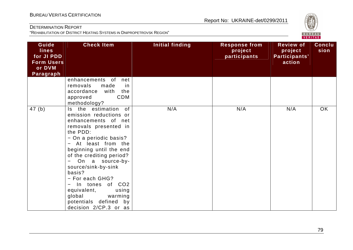

| Guide<br><b>lines</b><br>for JI PDD<br><b>Form Users</b><br>or DVM<br>Paragraph | <b>Check Item</b>                                                                                                                                                                                                                                                                                                                                                                                                     | Initial finding | <b>Response from</b><br>project<br>participants | <b>Review of</b><br>project<br>Participants'<br>action | <b>Conclu</b><br>sion |
|---------------------------------------------------------------------------------|-----------------------------------------------------------------------------------------------------------------------------------------------------------------------------------------------------------------------------------------------------------------------------------------------------------------------------------------------------------------------------------------------------------------------|-----------------|-------------------------------------------------|--------------------------------------------------------|-----------------------|
|                                                                                 | enhancements of<br>net<br>removals<br>made<br>in<br>accordance<br>with<br>the<br><b>CDM</b><br>approved<br>methodology?                                                                                                                                                                                                                                                                                               |                 |                                                 |                                                        |                       |
| 47(b)                                                                           | the estimation<br>0f<br>ls.<br>emission reductions or<br>enhancements of net<br>removals presented in<br>the PDD:<br>- On a periodic basis?<br>- At least from the<br>beginning until the end<br>of the crediting period?<br>On a source-by-<br>source/sink-by-sink<br>basis?<br>- For each GHG?<br>In tones of CO2<br>equivalent,<br>using<br>global<br>warming<br>potentials defined<br>by<br>decision 2/CP.3 or as | N/A             | N/A                                             | N/A                                                    | <b>OK</b>             |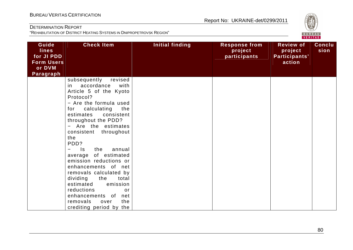

| Guide<br><b>lines</b><br>for JI PDD<br><b>Form Users</b><br>or DVM<br>Paragraph | <b>Check Item</b>                                                                                                                                                                                                                                                                                                                                                                                                                                                                                                                                                                | Initial finding | <b>Response from</b><br>project<br>participants | <b>Review of</b><br>project<br>Participants'<br>action | <b>Conclu</b><br>sion |
|---------------------------------------------------------------------------------|----------------------------------------------------------------------------------------------------------------------------------------------------------------------------------------------------------------------------------------------------------------------------------------------------------------------------------------------------------------------------------------------------------------------------------------------------------------------------------------------------------------------------------------------------------------------------------|-----------------|-------------------------------------------------|--------------------------------------------------------|-----------------------|
|                                                                                 | subsequently<br>revised<br>accordance<br>with<br>in.<br>Article 5 of the Kyoto<br>Protocol?<br>- Are the formula used<br>calculating<br>for<br>the<br>consistent<br>estimates<br>throughout the PDD?<br>- Are the estimates<br>throughout<br>consistent<br>the<br>PDD?<br>$\mathsf{ls}$<br>$\equiv$<br>the<br>annual<br>average of estimated<br>emission reductions or<br>enhancements of net<br>removals calculated by<br>dividing<br>the<br>total<br>estimated<br>emission<br>reductions<br>or<br>enhancements of<br>net<br>the<br>removals<br>over<br>crediting period by the |                 |                                                 |                                                        |                       |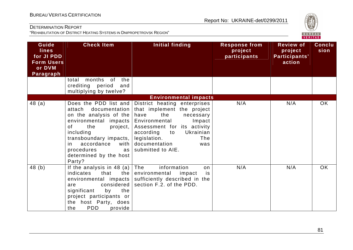

| Guide<br><b>lines</b><br>for JI PDD<br><b>Form Users</b><br>or DVM<br>Paragraph | <b>Check Item</b>                                                                                                                                                                                                               | Initial finding                                                                                                                                                                                                                                                            | <b>Response from</b><br>project<br>participants | <b>Review of</b><br>project<br>Participants'<br>action | Conclu<br>sion |
|---------------------------------------------------------------------------------|---------------------------------------------------------------------------------------------------------------------------------------------------------------------------------------------------------------------------------|----------------------------------------------------------------------------------------------------------------------------------------------------------------------------------------------------------------------------------------------------------------------------|-------------------------------------------------|--------------------------------------------------------|----------------|
|                                                                                 | months of<br>the<br>total<br>crediting period<br>and<br>multiplying by twelve?                                                                                                                                                  |                                                                                                                                                                                                                                                                            |                                                 |                                                        |                |
|                                                                                 |                                                                                                                                                                                                                                 | <b>Environmental impacts</b>                                                                                                                                                                                                                                               |                                                 |                                                        |                |
| 48(a)                                                                           | documentation<br>attach<br>on the analysis of the<br>environmental impacts<br>of<br>the<br>project,<br>including<br>transboundary impacts,<br>accordance<br>with<br>in.<br>procedures<br>as<br>determined by the host<br>Party? | Does the PDD list and District heating enterprises<br>that implement the project<br>the<br>have<br>necessary<br>Environmental<br>Impact<br>Assessment for its activity<br>according<br>Ukrainian<br>to<br>legislation.<br>The<br>documentation<br>was<br>submitted to AIE. | N/A                                             | N/A                                                    | <b>OK</b>      |
| 48(b)                                                                           | If the analysis in 48 (a) $ $<br>the  <br>indicates<br>that<br>environmental impacts<br>considered<br>are<br>significant<br>by<br>the<br>project participants or<br>the host Party, does<br><b>PDD</b><br>provide<br>the        | The<br>information<br>on<br>environmental<br>impact<br>is<br>sufficiently described in the<br>section F.2. of the PDD.                                                                                                                                                     | N/A                                             | N/A                                                    | <b>OK</b>      |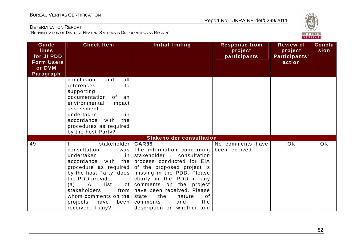

| Guide<br><b>lines</b><br>for JI PDD<br><b>Form Users</b><br>or DVM<br>Paragraph | <b>Check Item</b>                                                                                                                                                                                                                                                                                                         | <b>Initial finding</b>                                                                                                                                                                                                                                                                                                                              | <b>Response from</b><br>project<br>participants | <b>Review of</b><br>project<br>Participants'<br>action | Conclu<br>sion |
|---------------------------------------------------------------------------------|---------------------------------------------------------------------------------------------------------------------------------------------------------------------------------------------------------------------------------------------------------------------------------------------------------------------------|-----------------------------------------------------------------------------------------------------------------------------------------------------------------------------------------------------------------------------------------------------------------------------------------------------------------------------------------------------|-------------------------------------------------|--------------------------------------------------------|----------------|
|                                                                                 | conclusion<br>all<br>and<br>references<br>to<br>supporting<br>documentation<br>of<br>an<br>environmental<br>impact<br>assessment<br>undertaken<br>in.<br>accordance<br>with<br>the<br>procedures as required<br>by the host Party?                                                                                        |                                                                                                                                                                                                                                                                                                                                                     |                                                 |                                                        |                |
|                                                                                 |                                                                                                                                                                                                                                                                                                                           | <b>Stakeholder consultation</b>                                                                                                                                                                                                                                                                                                                     |                                                 |                                                        |                |
| 49                                                                              | stakeholder  <br> f <br>consultation<br>was<br>undertaken<br>in<br>accordance<br>with<br>the I<br>procedure as required<br>by the host Party, does<br>the PDD provide:<br>$\mathsf{A}$<br>list<br>of <sub>1</sub><br>(a)<br>stakeholders<br>from<br>whom comments on the<br>projects<br>have<br>been<br>received, if any? | <b>CAR39</b><br>The information concerning<br>stakeholder<br>consultation<br>process conducted for EIA<br>of the proposed project is<br>missing in the PDD. Please<br>clarify in the PDD if any<br>comments on the<br>project<br>have been received. Please<br>the<br>of<br>state<br>nature<br>and<br>comments<br>the<br>description on whether and | No comments have<br>been received.              | <b>OK</b>                                              | <b>OK</b>      |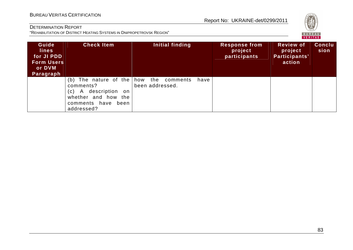# **VERITAS**

#### DETERMINATION REPORT

| Guide<br><b>lines</b><br>for JI PDD<br><b>Form Users</b><br>or DVM<br>Paragraph | <b>Check Item</b>                                                                                                                                     | Initial finding         | <b>Response from</b><br>project<br>participants | <b>Review of</b><br>project<br>Participants'<br>action | <b>Conclu</b><br>sion |
|---------------------------------------------------------------------------------|-------------------------------------------------------------------------------------------------------------------------------------------------------|-------------------------|-------------------------------------------------|--------------------------------------------------------|-----------------------|
|                                                                                 | (b) The nature of the $ how$ the comments<br>comments?<br>description on<br>A<br>(C)<br>whether and how<br>the<br>comments have<br>been<br>addressed? | have<br>been addressed. |                                                 |                                                        |                       |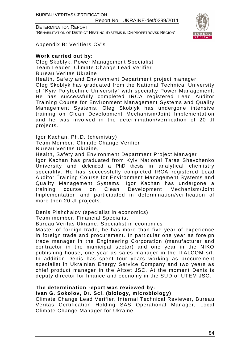BUREAU VERITAS CERTIFICATION

Report No: UKRAINE-det/0299/2011

DETERMINATION REPORT "REHABILITATION OF DISTRICT HEATING SYSTEMS IN DNIPROPETROVSK REGION"



Appendix B: Verifiers CV's

#### **Work carried out by:**

Oleg Skoblyk, Power Management Specialist Team Leader, Climate Change Lead Verifier Bureau Veritas Ukraine Health, Safety and Environment Department project manager Oleg Skoblyk has graduated from the National Technical University of "Kyiv Polytechnic University" with specialty Power Management. He has successfully completed IRCA registered Lead Auditor Training Course for Environment Management Systems and Quality Management Systems. Oleg Skoblyk has undergone intensive training on Clean Development Mechanism/Joint Implementation and he was involved in the determination/verification of 20 JI projects.

Igor Kachan, Ph.D. (chemistry)

Team Member, Climate Change Verifier

Bureau Veritas Ukraine,

Health, Safety and Environment Department Project Manager Igor Kachan has graduated from Kyiv National Taras Shevchenko University and defended a PhD thesis in analytical chemistry speciality. He has successfully completed IRCA registered Lead Auditor Training Course for Environment Management Systems and Quality Management Systems. Igor Kachan has undergone a training course on Clean Development Mechanism/Joint Implementation and participated in determination/verification of more then 20 JI projects.

Denis Pishchalov (specialist in economics) Team member, Financial Specialist

Bureau Veritas Ukraine, Specialist in economics

Master of foreign trade, he has more than five year of experience in foreign trade and procurement. In particular one year as foreign trade manager in the Engineering Corporation (manufacturer and contractor in the municipal sector) and one year in the NIKO publishing house, one year as sales manager in the ITALCOM srl. In addition Denis has spent four years working as procurement specialist in Ukrainian Energy Service Company and two years as chief product manager in the Altset JSC. At the moment Denis is deputy director for finance and economy in the SUD of UTEM JSC.

#### **The determination report was reviewed by:**

#### **Ivan G. Sokolov, Dr. Sci. (biology, microbiology)**

Climate Change Lead Verifier, Internal Technical Reviewer, Bureau Veritas Certification Holding SAS Operational Manager, Local Climate Change Manager for Ukraine